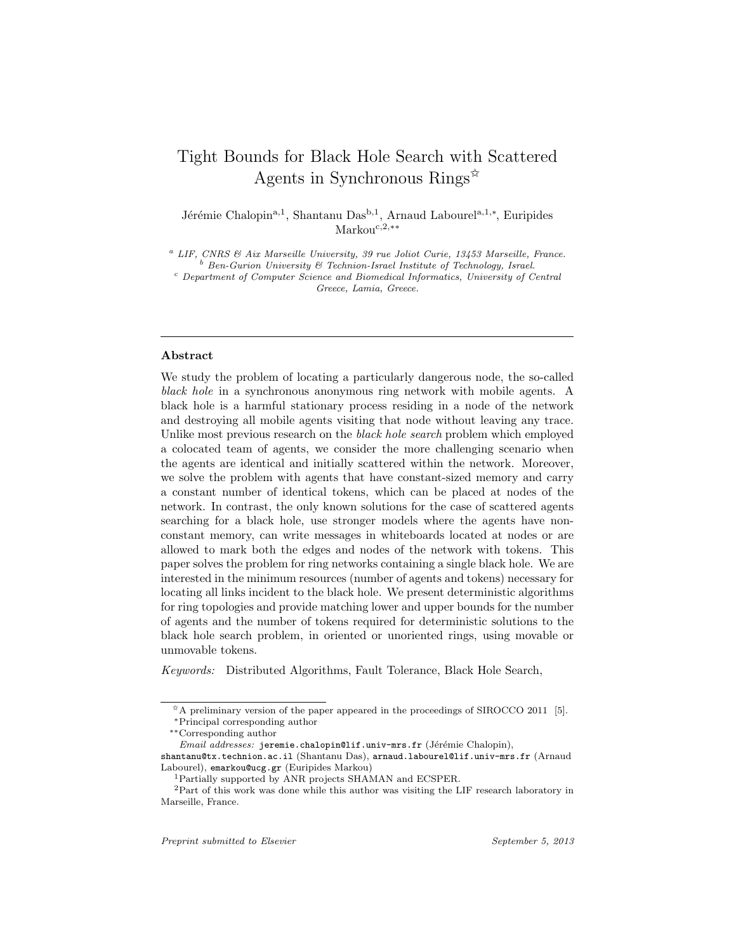# Tight Bounds for Black Hole Search with Scattered Agents in Synchronous Rings $\hat{X}$

Jérémie Chalopin<sup>a,1</sup>, Shantanu Das<sup>b,1</sup>, Arnaud Labourel<sup>a,1,∗</sup>, Euripides Markouc,2,∗∗

<sup>a</sup> LIF, CNRS & Aix Marseille University, 39 rue Joliot Curie, 13453 Marseille, France.  $b$  Ben-Gurion University  $\mathcal C$  Technion-Israel Institute of Technology, Israel. <sup>c</sup> Department of Computer Science and Biomedical Informatics, University of Central

Greece, Lamia, Greece.

## Abstract

We study the problem of locating a particularly dangerous node, the so-called black hole in a synchronous anonymous ring network with mobile agents. A black hole is a harmful stationary process residing in a node of the network and destroying all mobile agents visiting that node without leaving any trace. Unlike most previous research on the *black hole search* problem which employed a colocated team of agents, we consider the more challenging scenario when the agents are identical and initially scattered within the network. Moreover, we solve the problem with agents that have constant-sized memory and carry a constant number of identical tokens, which can be placed at nodes of the network. In contrast, the only known solutions for the case of scattered agents searching for a black hole, use stronger models where the agents have nonconstant memory, can write messages in whiteboards located at nodes or are allowed to mark both the edges and nodes of the network with tokens. This paper solves the problem for ring networks containing a single black hole. We are interested in the minimum resources (number of agents and tokens) necessary for locating all links incident to the black hole. We present deterministic algorithms for ring topologies and provide matching lower and upper bounds for the number of agents and the number of tokens required for deterministic solutions to the black hole search problem, in oriented or unoriented rings, using movable or unmovable tokens.

Keywords: Distributed Algorithms, Fault Tolerance, Black Hole Search,

 $\overline{A}$  preliminary version of the paper appeared in the proceedings of SIROCCO 2011 [5]. <sup>∗</sup>Principal corresponding author

<sup>∗∗</sup>Corresponding author

Email addresses: jeremie.chalopin@lif.univ-mrs.fr (Jérémie Chalopin),

shantanu@tx.technion.ac.il (Shantanu Das), arnaud.labourel@lif.univ-mrs.fr (Arnaud Labourel), emarkou@ucg.gr (Euripides Markou)

<sup>1</sup>Partially supported by ANR projects SHAMAN and ECSPER.

<sup>&</sup>lt;sup>2</sup>Part of this work was done while this author was visiting the LIF research laboratory in Marseille, France.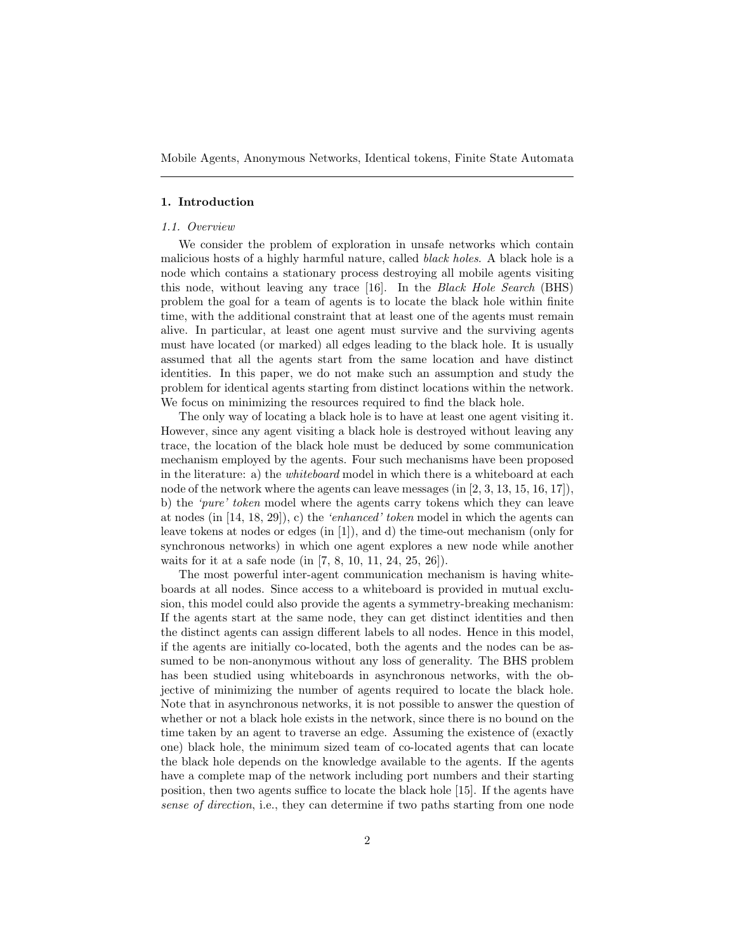Mobile Agents, Anonymous Networks, Identical tokens, Finite State Automata

#### 1. Introduction

#### 1.1. Overview

We consider the problem of exploration in unsafe networks which contain malicious hosts of a highly harmful nature, called black holes. A black hole is a node which contains a stationary process destroying all mobile agents visiting this node, without leaving any trace [16]. In the Black Hole Search (BHS) problem the goal for a team of agents is to locate the black hole within finite time, with the additional constraint that at least one of the agents must remain alive. In particular, at least one agent must survive and the surviving agents must have located (or marked) all edges leading to the black hole. It is usually assumed that all the agents start from the same location and have distinct identities. In this paper, we do not make such an assumption and study the problem for identical agents starting from distinct locations within the network. We focus on minimizing the resources required to find the black hole.

The only way of locating a black hole is to have at least one agent visiting it. However, since any agent visiting a black hole is destroyed without leaving any trace, the location of the black hole must be deduced by some communication mechanism employed by the agents. Four such mechanisms have been proposed in the literature: a) the whiteboard model in which there is a whiteboard at each node of the network where the agents can leave messages (in [2, 3, 13, 15, 16, 17]), b) the 'pure' token model where the agents carry tokens which they can leave at nodes (in  $[14, 18, 29]$ ), c) the 'enhanced' token model in which the agents can leave tokens at nodes or edges (in [1]), and d) the time-out mechanism (only for synchronous networks) in which one agent explores a new node while another waits for it at a safe node (in [7, 8, 10, 11, 24, 25, 26]).

The most powerful inter-agent communication mechanism is having whiteboards at all nodes. Since access to a whiteboard is provided in mutual exclusion, this model could also provide the agents a symmetry-breaking mechanism: If the agents start at the same node, they can get distinct identities and then the distinct agents can assign different labels to all nodes. Hence in this model, if the agents are initially co-located, both the agents and the nodes can be assumed to be non-anonymous without any loss of generality. The BHS problem has been studied using whiteboards in asynchronous networks, with the objective of minimizing the number of agents required to locate the black hole. Note that in asynchronous networks, it is not possible to answer the question of whether or not a black hole exists in the network, since there is no bound on the time taken by an agent to traverse an edge. Assuming the existence of (exactly one) black hole, the minimum sized team of co-located agents that can locate the black hole depends on the knowledge available to the agents. If the agents have a complete map of the network including port numbers and their starting position, then two agents suffice to locate the black hole [15]. If the agents have sense of direction, i.e., they can determine if two paths starting from one node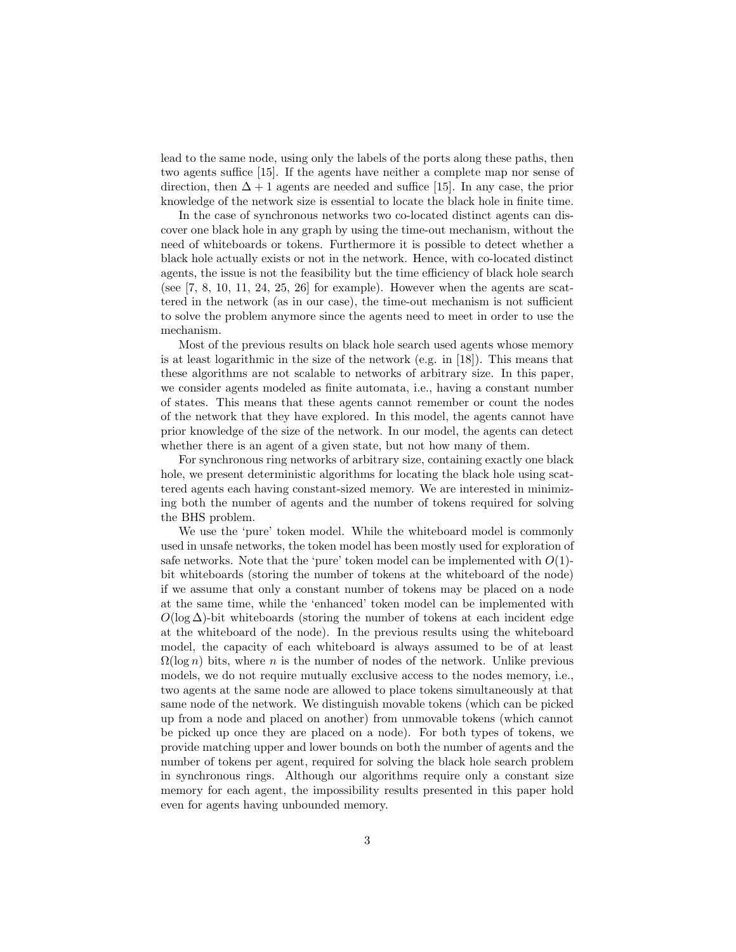lead to the same node, using only the labels of the ports along these paths, then two agents suffice [15]. If the agents have neither a complete map nor sense of direction, then  $\Delta + 1$  agents are needed and suffice [15]. In any case, the prior knowledge of the network size is essential to locate the black hole in finite time.

In the case of synchronous networks two co-located distinct agents can discover one black hole in any graph by using the time-out mechanism, without the need of whiteboards or tokens. Furthermore it is possible to detect whether a black hole actually exists or not in the network. Hence, with co-located distinct agents, the issue is not the feasibility but the time efficiency of black hole search (see  $[7, 8, 10, 11, 24, 25, 26]$  for example). However when the agents are scattered in the network (as in our case), the time-out mechanism is not sufficient to solve the problem anymore since the agents need to meet in order to use the mechanism.

Most of the previous results on black hole search used agents whose memory is at least logarithmic in the size of the network (e.g. in [18]). This means that these algorithms are not scalable to networks of arbitrary size. In this paper, we consider agents modeled as finite automata, i.e., having a constant number of states. This means that these agents cannot remember or count the nodes of the network that they have explored. In this model, the agents cannot have prior knowledge of the size of the network. In our model, the agents can detect whether there is an agent of a given state, but not how many of them.

For synchronous ring networks of arbitrary size, containing exactly one black hole, we present deterministic algorithms for locating the black hole using scattered agents each having constant-sized memory. We are interested in minimizing both the number of agents and the number of tokens required for solving the BHS problem.

We use the 'pure' token model. While the whiteboard model is commonly used in unsafe networks, the token model has been mostly used for exploration of safe networks. Note that the 'pure' token model can be implemented with  $O(1)$ bit whiteboards (storing the number of tokens at the whiteboard of the node) if we assume that only a constant number of tokens may be placed on a node at the same time, while the 'enhanced' token model can be implemented with  $O(\log \Delta)$ -bit whiteboards (storing the number of tokens at each incident edge at the whiteboard of the node). In the previous results using the whiteboard model, the capacity of each whiteboard is always assumed to be of at least  $\Omega(\log n)$  bits, where n is the number of nodes of the network. Unlike previous models, we do not require mutually exclusive access to the nodes memory, i.e., two agents at the same node are allowed to place tokens simultaneously at that same node of the network. We distinguish movable tokens (which can be picked up from a node and placed on another) from unmovable tokens (which cannot be picked up once they are placed on a node). For both types of tokens, we provide matching upper and lower bounds on both the number of agents and the number of tokens per agent, required for solving the black hole search problem in synchronous rings. Although our algorithms require only a constant size memory for each agent, the impossibility results presented in this paper hold even for agents having unbounded memory.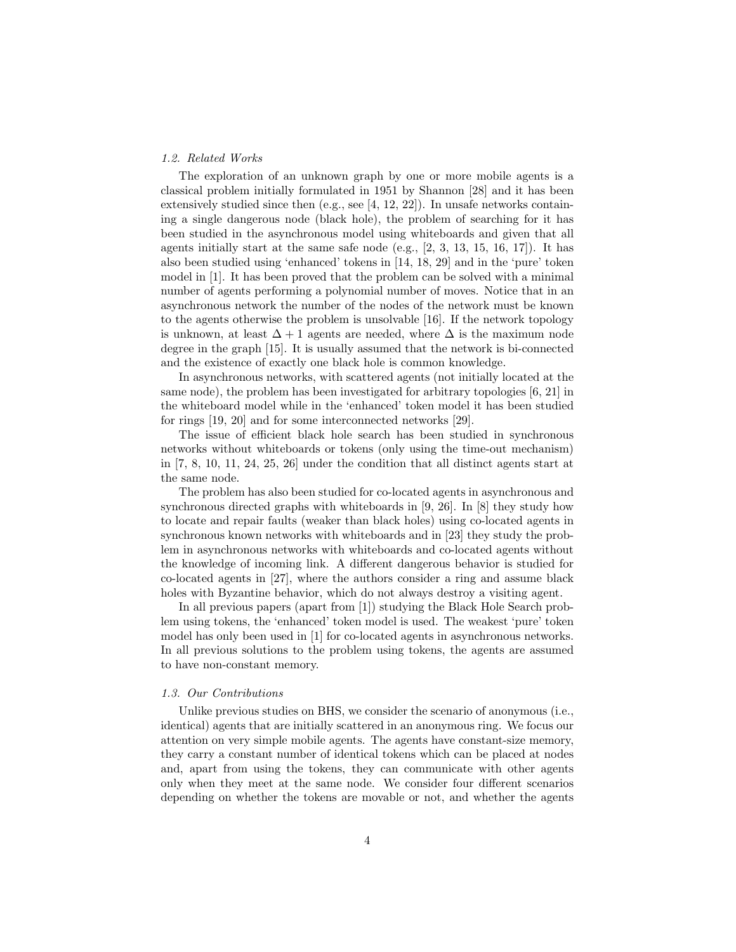# 1.2. Related Works

The exploration of an unknown graph by one or more mobile agents is a classical problem initially formulated in 1951 by Shannon [28] and it has been extensively studied since then (e.g., see [4, 12, 22]). In unsafe networks containing a single dangerous node (black hole), the problem of searching for it has been studied in the asynchronous model using whiteboards and given that all agents initially start at the same safe node  $(e.g., [2, 3, 13, 15, 16, 17])$ . It has also been studied using 'enhanced' tokens in [14, 18, 29] and in the 'pure' token model in [1]. It has been proved that the problem can be solved with a minimal number of agents performing a polynomial number of moves. Notice that in an asynchronous network the number of the nodes of the network must be known to the agents otherwise the problem is unsolvable [16]. If the network topology is unknown, at least  $\Delta + 1$  agents are needed, where  $\Delta$  is the maximum node degree in the graph [15]. It is usually assumed that the network is bi-connected and the existence of exactly one black hole is common knowledge.

In asynchronous networks, with scattered agents (not initially located at the same node), the problem has been investigated for arbitrary topologies [6, 21] in the whiteboard model while in the 'enhanced' token model it has been studied for rings [19, 20] and for some interconnected networks [29].

The issue of efficient black hole search has been studied in synchronous networks without whiteboards or tokens (only using the time-out mechanism) in [7, 8, 10, 11, 24, 25, 26] under the condition that all distinct agents start at the same node.

The problem has also been studied for co-located agents in asynchronous and synchronous directed graphs with whiteboards in [9, 26]. In [8] they study how to locate and repair faults (weaker than black holes) using co-located agents in synchronous known networks with whiteboards and in [23] they study the problem in asynchronous networks with whiteboards and co-located agents without the knowledge of incoming link. A different dangerous behavior is studied for co-located agents in [27], where the authors consider a ring and assume black holes with Byzantine behavior, which do not always destroy a visiting agent.

In all previous papers (apart from [1]) studying the Black Hole Search problem using tokens, the 'enhanced' token model is used. The weakest 'pure' token model has only been used in [1] for co-located agents in asynchronous networks. In all previous solutions to the problem using tokens, the agents are assumed to have non-constant memory.

#### 1.3. Our Contributions

Unlike previous studies on BHS, we consider the scenario of anonymous (i.e., identical) agents that are initially scattered in an anonymous ring. We focus our attention on very simple mobile agents. The agents have constant-size memory, they carry a constant number of identical tokens which can be placed at nodes and, apart from using the tokens, they can communicate with other agents only when they meet at the same node. We consider four different scenarios depending on whether the tokens are movable or not, and whether the agents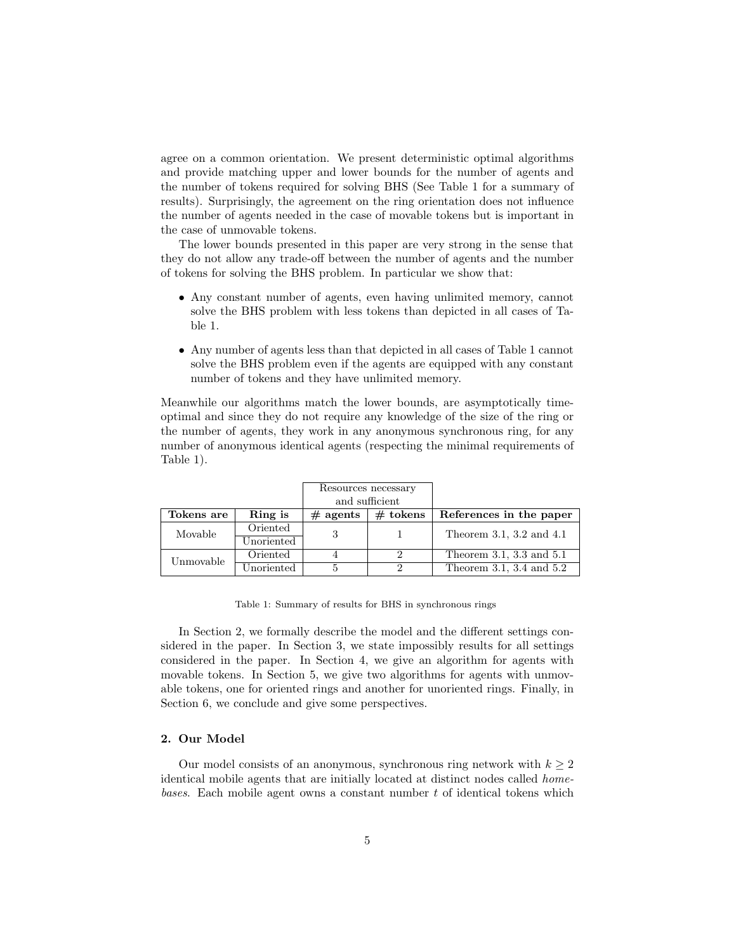agree on a common orientation. We present deterministic optimal algorithms and provide matching upper and lower bounds for the number of agents and the number of tokens required for solving BHS (See Table 1 for a summary of results). Surprisingly, the agreement on the ring orientation does not influence the number of agents needed in the case of movable tokens but is important in the case of unmovable tokens.

The lower bounds presented in this paper are very strong in the sense that they do not allow any trade-off between the number of agents and the number of tokens for solving the BHS problem. In particular we show that:

- Any constant number of agents, even having unlimited memory, cannot solve the BHS problem with less tokens than depicted in all cases of Table 1.
- Any number of agents less than that depicted in all cases of Table 1 cannot solve the BHS problem even if the agents are equipped with any constant number of tokens and they have unlimited memory.

Meanwhile our algorithms match the lower bounds, are asymptotically timeoptimal and since they do not require any knowledge of the size of the ring or the number of agents, they work in any anonymous synchronous ring, for any number of anonymous identical agents (respecting the minimal requirements of Table 1).

|            |            | Resources necessary<br>and sufficient |            |                            |
|------------|------------|---------------------------------------|------------|----------------------------|
| Tokens are | Ring is    | $#$ agents                            | $#$ tokens | References in the paper    |
| Movable    | Oriented   |                                       |            | Theorem 3.1, 3.2 and 4.1   |
|            | Unoriented |                                       |            |                            |
| Unmovable  | Oriented   |                                       |            | Theorem 3.1, 3.3 and $5.1$ |
|            | Unoriented |                                       |            | Theorem 3.1, 3.4 and $5.2$ |

Table 1: Summary of results for BHS in synchronous rings

In Section 2, we formally describe the model and the different settings considered in the paper. In Section 3, we state impossibly results for all settings considered in the paper. In Section 4, we give an algorithm for agents with movable tokens. In Section 5, we give two algorithms for agents with unmovable tokens, one for oriented rings and another for unoriented rings. Finally, in Section 6, we conclude and give some perspectives.

# 2. Our Model

Our model consists of an anonymous, synchronous ring network with  $k \geq 2$ identical mobile agents that are initially located at distinct nodes called homebases. Each mobile agent owns a constant number  $t$  of identical tokens which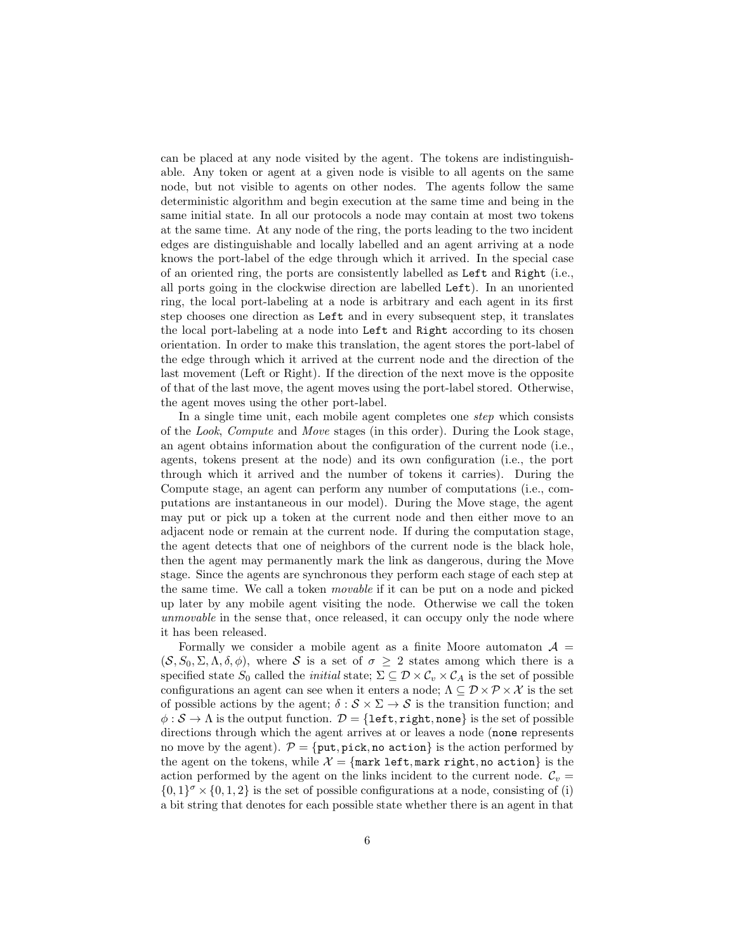can be placed at any node visited by the agent. The tokens are indistinguishable. Any token or agent at a given node is visible to all agents on the same node, but not visible to agents on other nodes. The agents follow the same deterministic algorithm and begin execution at the same time and being in the same initial state. In all our protocols a node may contain at most two tokens at the same time. At any node of the ring, the ports leading to the two incident edges are distinguishable and locally labelled and an agent arriving at a node knows the port-label of the edge through which it arrived. In the special case of an oriented ring, the ports are consistently labelled as Left and Right (i.e., all ports going in the clockwise direction are labelled Left). In an unoriented ring, the local port-labeling at a node is arbitrary and each agent in its first step chooses one direction as Left and in every subsequent step, it translates the local port-labeling at a node into Left and Right according to its chosen orientation. In order to make this translation, the agent stores the port-label of the edge through which it arrived at the current node and the direction of the last movement (Left or Right). If the direction of the next move is the opposite of that of the last move, the agent moves using the port-label stored. Otherwise, the agent moves using the other port-label.

In a single time unit, each mobile agent completes one step which consists of the Look, Compute and Move stages (in this order). During the Look stage, an agent obtains information about the configuration of the current node (i.e., agents, tokens present at the node) and its own configuration (i.e., the port through which it arrived and the number of tokens it carries). During the Compute stage, an agent can perform any number of computations (i.e., computations are instantaneous in our model). During the Move stage, the agent may put or pick up a token at the current node and then either move to an adjacent node or remain at the current node. If during the computation stage, the agent detects that one of neighbors of the current node is the black hole, then the agent may permanently mark the link as dangerous, during the Move stage. Since the agents are synchronous they perform each stage of each step at the same time. We call a token movable if it can be put on a node and picked up later by any mobile agent visiting the node. Otherwise we call the token unmovable in the sense that, once released, it can occupy only the node where it has been released.

Formally we consider a mobile agent as a finite Moore automaton  $\mathcal{A} =$  $(S, S_0, \Sigma, \Lambda, \delta, \phi)$ , where S is a set of  $\sigma \geq 2$  states among which there is a specified state  $S_0$  called the *initial* state;  $\Sigma \subseteq \mathcal{D} \times \mathcal{C}_v \times \mathcal{C}_A$  is the set of possible configurations an agent can see when it enters a node;  $\Lambda\subseteq\mathcal{D}\times\mathcal{P}\times\mathcal{X}$  is the set of possible actions by the agent;  $\delta : \mathcal{S} \times \Sigma \to \mathcal{S}$  is the transition function; and  $\phi : \mathcal{S} \to \Lambda$  is the output function.  $\mathcal{D} = \{\text{left}, \text{right}, \text{none}\}\$ is the set of possible directions through which the agent arrives at or leaves a node (none represents no move by the agent).  $P = \{put, pick, no action\}$  is the action performed by the agent on the tokens, while  $\mathcal{X} = \{ \text{mark left}, \text{mark right}, \text{no action} \}$  is the action performed by the agent on the links incident to the current node.  $\mathcal{C}_v$  =  $\{0,1\}^{\sigma} \times \{0,1,2\}$  is the set of possible configurations at a node, consisting of (i) a bit string that denotes for each possible state whether there is an agent in that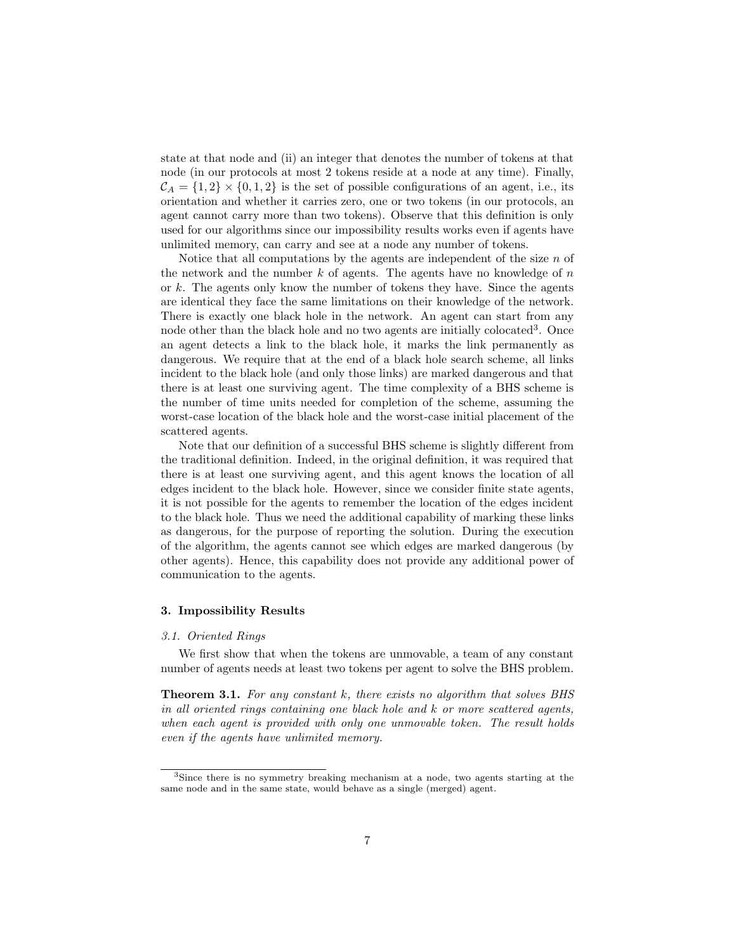state at that node and (ii) an integer that denotes the number of tokens at that node (in our protocols at most 2 tokens reside at a node at any time). Finally,  $C_A = \{1, 2\} \times \{0, 1, 2\}$  is the set of possible configurations of an agent, i.e., its orientation and whether it carries zero, one or two tokens (in our protocols, an agent cannot carry more than two tokens). Observe that this definition is only used for our algorithms since our impossibility results works even if agents have unlimited memory, can carry and see at a node any number of tokens.

Notice that all computations by the agents are independent of the size  $n$  of the network and the number  $k$  of agents. The agents have no knowledge of  $n$ or  $k$ . The agents only know the number of tokens they have. Since the agents are identical they face the same limitations on their knowledge of the network. There is exactly one black hole in the network. An agent can start from any node other than the black hole and no two agents are initially colocated<sup>3</sup>. Once an agent detects a link to the black hole, it marks the link permanently as dangerous. We require that at the end of a black hole search scheme, all links incident to the black hole (and only those links) are marked dangerous and that there is at least one surviving agent. The time complexity of a BHS scheme is the number of time units needed for completion of the scheme, assuming the worst-case location of the black hole and the worst-case initial placement of the scattered agents.

Note that our definition of a successful BHS scheme is slightly different from the traditional definition. Indeed, in the original definition, it was required that there is at least one surviving agent, and this agent knows the location of all edges incident to the black hole. However, since we consider finite state agents, it is not possible for the agents to remember the location of the edges incident to the black hole. Thus we need the additional capability of marking these links as dangerous, for the purpose of reporting the solution. During the execution of the algorithm, the agents cannot see which edges are marked dangerous (by other agents). Hence, this capability does not provide any additional power of communication to the agents.

## 3. Impossibility Results

#### 3.1. Oriented Rings

We first show that when the tokens are unmovable, a team of any constant number of agents needs at least two tokens per agent to solve the BHS problem.

**Theorem 3.1.** For any constant  $k$ , there exists no algorithm that solves BHS in all oriented rings containing one black hole and k or more scattered agents, when each agent is provided with only one unmovable token. The result holds even if the agents have unlimited memory.

<sup>3</sup>Since there is no symmetry breaking mechanism at a node, two agents starting at the same node and in the same state, would behave as a single (merged) agent.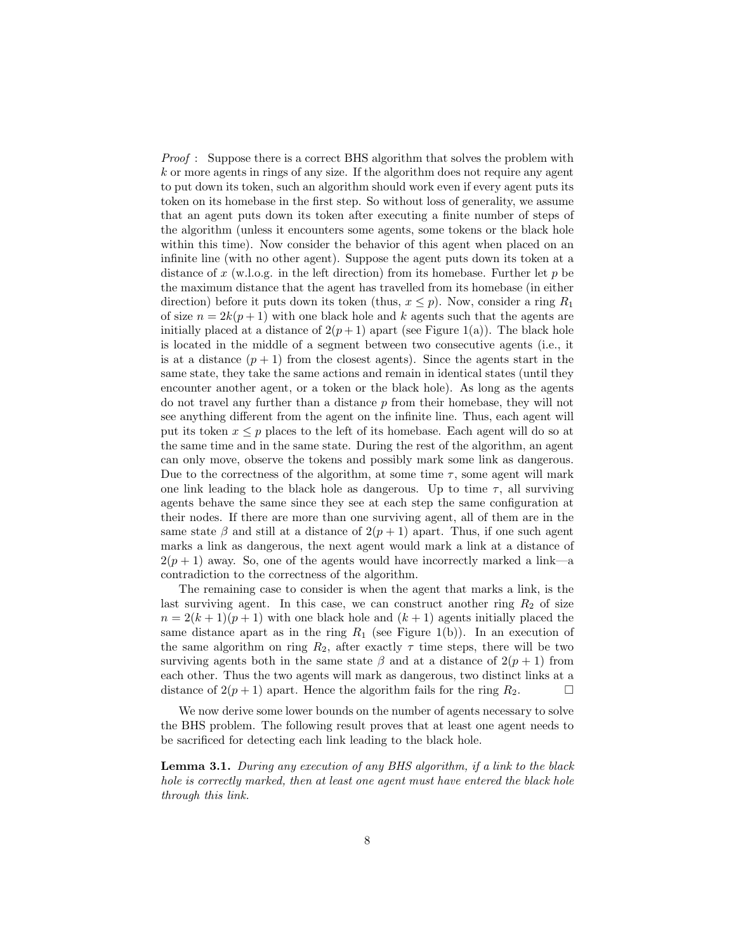*Proof* : Suppose there is a correct BHS algorithm that solves the problem with k or more agents in rings of any size. If the algorithm does not require any agent to put down its token, such an algorithm should work even if every agent puts its token on its homebase in the first step. So without loss of generality, we assume that an agent puts down its token after executing a finite number of steps of the algorithm (unless it encounters some agents, some tokens or the black hole within this time). Now consider the behavior of this agent when placed on an infinite line (with no other agent). Suppose the agent puts down its token at a distance of x (w.l.o.g. in the left direction) from its homebase. Further let p be the maximum distance that the agent has travelled from its homebase (in either direction) before it puts down its token (thus,  $x \leq p$ ). Now, consider a ring  $R_1$ of size  $n = 2k(p+1)$  with one black hole and k agents such that the agents are initially placed at a distance of  $2(p+1)$  apart (see Figure 1(a)). The black hole is located in the middle of a segment between two consecutive agents (i.e., it is at a distance  $(p + 1)$  from the closest agents). Since the agents start in the same state, they take the same actions and remain in identical states (until they encounter another agent, or a token or the black hole). As long as the agents do not travel any further than a distance p from their homebase, they will not see anything different from the agent on the infinite line. Thus, each agent will put its token  $x \leq p$  places to the left of its homebase. Each agent will do so at the same time and in the same state. During the rest of the algorithm, an agent can only move, observe the tokens and possibly mark some link as dangerous. Due to the correctness of the algorithm, at some time  $\tau$ , some agent will mark one link leading to the black hole as dangerous. Up to time  $\tau$ , all surviving agents behave the same since they see at each step the same configuration at their nodes. If there are more than one surviving agent, all of them are in the same state  $\beta$  and still at a distance of  $2(p+1)$  apart. Thus, if one such agent marks a link as dangerous, the next agent would mark a link at a distance of  $2(p+1)$  away. So, one of the agents would have incorrectly marked a link—a contradiction to the correctness of the algorithm.

The remaining case to consider is when the agent that marks a link, is the last surviving agent. In this case, we can construct another ring  $R_2$  of size  $n = 2(k + 1)(p + 1)$  with one black hole and  $(k + 1)$  agents initially placed the same distance apart as in the ring  $R_1$  (see Figure 1(b)). In an execution of the same algorithm on ring  $R_2$ , after exactly  $\tau$  time steps, there will be two surviving agents both in the same state  $\beta$  and at a distance of  $2(p+1)$  from each other. Thus the two agents will mark as dangerous, two distinct links at a distance of  $2(p+1)$  apart. Hence the algorithm fails for the ring  $R_2$ .

We now derive some lower bounds on the number of agents necessary to solve the BHS problem. The following result proves that at least one agent needs to be sacrificed for detecting each link leading to the black hole.

Lemma 3.1. During any execution of any BHS algorithm, if a link to the black hole is correctly marked, then at least one agent must have entered the black hole through this link.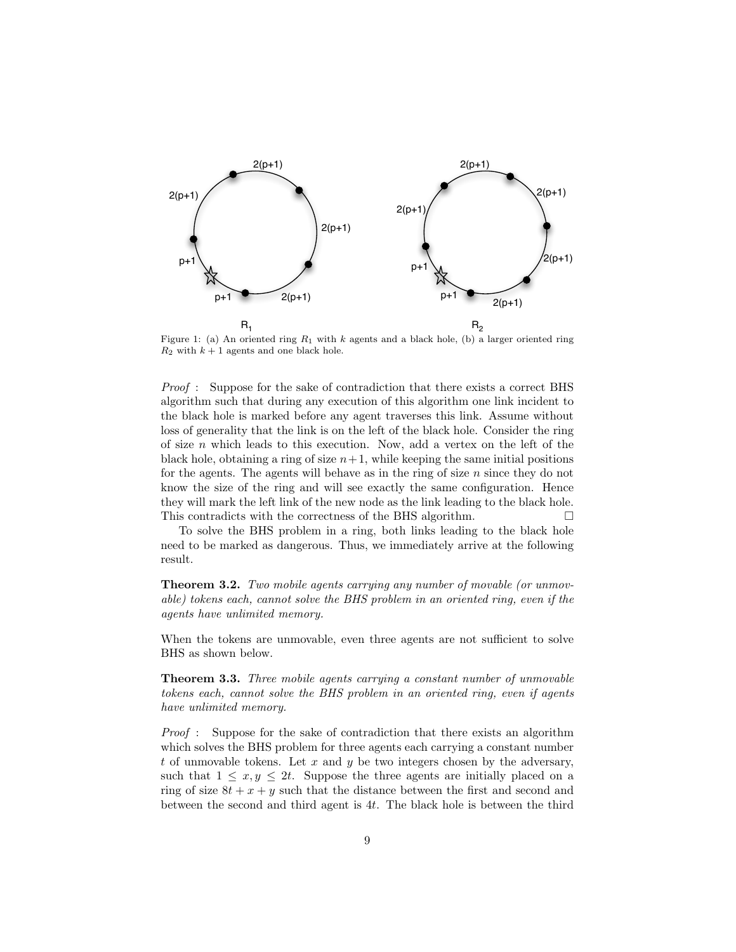

Figure 1: (a) An oriented ring  $R_1$  with k agents and a black hole, (b) a larger oriented ring  $R_2$  with  $k+1$  agents and one black hole.

Proof: Suppose for the sake of contradiction that there exists a correct BHS algorithm such that during any execution of this algorithm one link incident to the black hole is marked before any agent traverses this link. Assume without loss of generality that the link is on the left of the black hole. Consider the ring of size  $n$  which leads to this execution. Now, add a vertex on the left of the black hole, obtaining a ring of size  $n+1$ , while keeping the same initial positions for the agents. The agents will behave as in the ring of size  $n$  since they do not know the size of the ring and will see exactly the same configuration. Hence they will mark the left link of the new node as the link leading to the black hole. This contradicts with the correctness of the BHS algorithm.  $\Box$ 

To solve the BHS problem in a ring, both links leading to the black hole need to be marked as dangerous. Thus, we immediately arrive at the following result.

Theorem 3.2. Two mobile agents carrying any number of movable (or unmovable) tokens each, cannot solve the BHS problem in an oriented ring, even if the agents have unlimited memory.

When the tokens are unmovable, even three agents are not sufficient to solve BHS as shown below.

Theorem 3.3. Three mobile agents carrying a constant number of unmovable tokens each, cannot solve the BHS problem in an oriented ring, even if agents have unlimited memory.

Proof : Suppose for the sake of contradiction that there exists an algorithm which solves the BHS problem for three agents each carrying a constant number t of unmovable tokens. Let x and y be two integers chosen by the adversary, such that  $1 \leq x, y \leq 2t$ . Suppose the three agents are initially placed on a ring of size  $8t + x + y$  such that the distance between the first and second and between the second and third agent is 4t. The black hole is between the third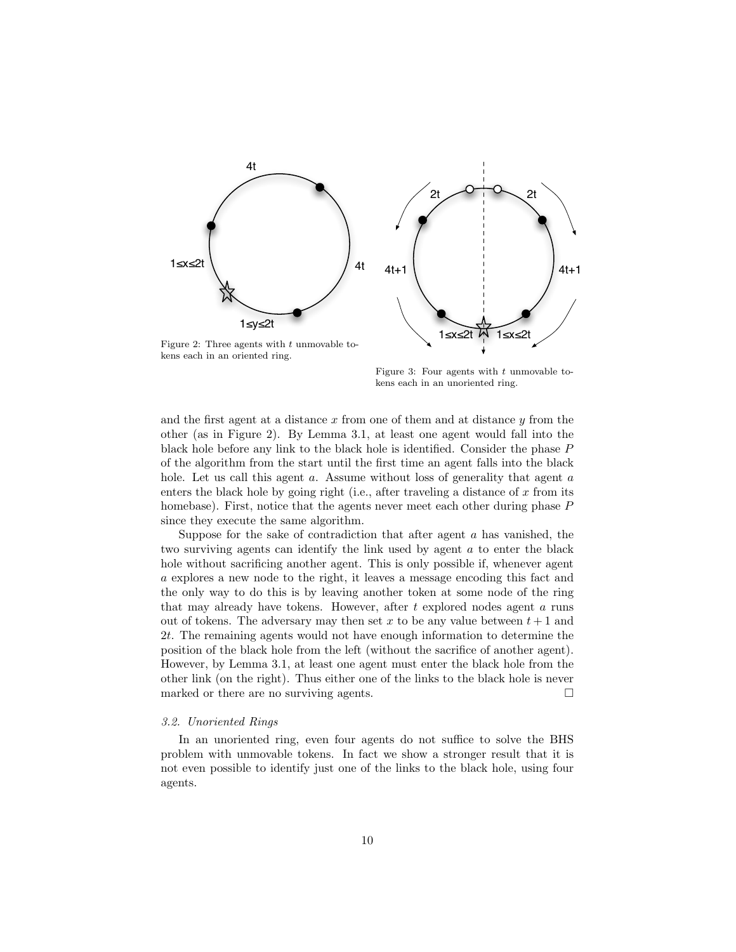

Figure 2: Three agents with  $t$  unmovable tokens each in an oriented ring.

Figure 3: Four agents with  $t$  unmovable tokens each in an unoriented ring.

and the first agent at a distance  $x$  from one of them and at distance  $y$  from the other (as in Figure 2). By Lemma 3.1, at least one agent would fall into the black hole before any link to the black hole is identified. Consider the phase P of the algorithm from the start until the first time an agent falls into the black hole. Let us call this agent a. Assume without loss of generality that agent a enters the black hole by going right (i.e., after traveling a distance of  $x$  from its homebase). First, notice that the agents never meet each other during phase P since they execute the same algorithm.

Suppose for the sake of contradiction that after agent  $a$  has vanished, the two surviving agents can identify the link used by agent a to enter the black hole without sacrificing another agent. This is only possible if, whenever agent a explores a new node to the right, it leaves a message encoding this fact and the only way to do this is by leaving another token at some node of the ring that may already have tokens. However, after  $t$  explored nodes agent  $a$  runs out of tokens. The adversary may then set x to be any value between  $t + 1$  and 2t. The remaining agents would not have enough information to determine the position of the black hole from the left (without the sacrifice of another agent). However, by Lemma 3.1, at least one agent must enter the black hole from the other link (on the right). Thus either one of the links to the black hole is never marked or there are no surviving agents.  $\Box$ 

# 3.2. Unoriented Rings

In an unoriented ring, even four agents do not suffice to solve the BHS problem with unmovable tokens. In fact we show a stronger result that it is not even possible to identify just one of the links to the black hole, using four agents.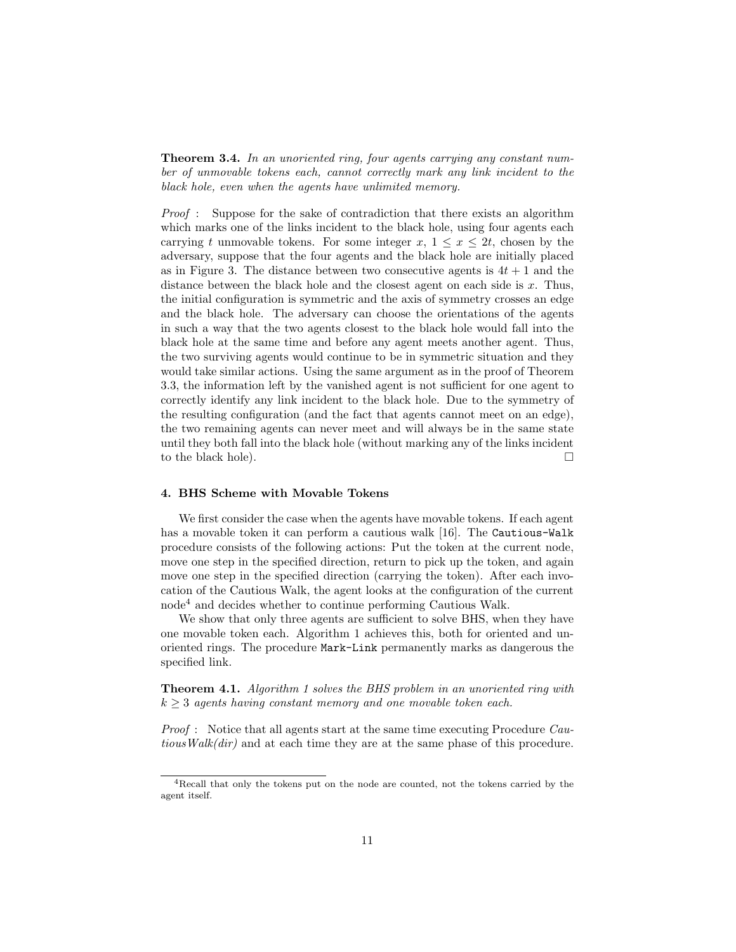Theorem 3.4. In an unoriented ring, four agents carrying any constant number of unmovable tokens each, cannot correctly mark any link incident to the black hole, even when the agents have unlimited memory.

Proof : Suppose for the sake of contradiction that there exists an algorithm which marks one of the links incident to the black hole, using four agents each carrying t unmovable tokens. For some integer  $x, 1 \leq x \leq 2t$ , chosen by the adversary, suppose that the four agents and the black hole are initially placed as in Figure 3. The distance between two consecutive agents is  $4t + 1$  and the distance between the black hole and the closest agent on each side is  $x$ . Thus, the initial configuration is symmetric and the axis of symmetry crosses an edge and the black hole. The adversary can choose the orientations of the agents in such a way that the two agents closest to the black hole would fall into the black hole at the same time and before any agent meets another agent. Thus, the two surviving agents would continue to be in symmetric situation and they would take similar actions. Using the same argument as in the proof of Theorem 3.3, the information left by the vanished agent is not sufficient for one agent to correctly identify any link incident to the black hole. Due to the symmetry of the resulting configuration (and the fact that agents cannot meet on an edge), the two remaining agents can never meet and will always be in the same state until they both fall into the black hole (without marking any of the links incident to the black hole).  $\Box$ 

# 4. BHS Scheme with Movable Tokens

We first consider the case when the agents have movable tokens. If each agent has a movable token it can perform a cautious walk [16]. The Cautious-Walk procedure consists of the following actions: Put the token at the current node, move one step in the specified direction, return to pick up the token, and again move one step in the specified direction (carrying the token). After each invocation of the Cautious Walk, the agent looks at the configuration of the current node<sup>4</sup> and decides whether to continue performing Cautious Walk.

We show that only three agents are sufficient to solve BHS, when they have one movable token each. Algorithm 1 achieves this, both for oriented and unoriented rings. The procedure Mark-Link permanently marks as dangerous the specified link.

Theorem 4.1. Algorithm 1 solves the BHS problem in an unoriented ring with  $k \geq 3$  agents having constant memory and one movable token each.

Proof : Notice that all agents start at the same time executing Procedure CautiousWalk(dir) and at each time they are at the same phase of this procedure.

<sup>&</sup>lt;sup>4</sup>Recall that only the tokens put on the node are counted, not the tokens carried by the agent itself.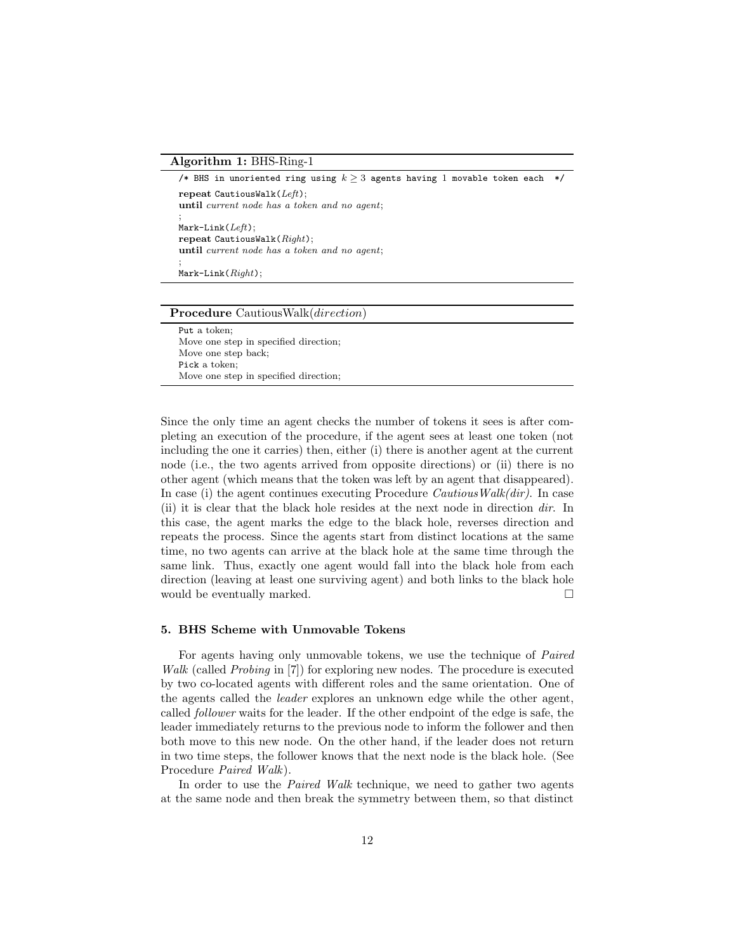Algorithm 1: BHS-Ring-1

/\* BHS in unoriented ring using  $k > 3$  agents having 1 movable token each \*/ repeat CautiousWalk( $Left$ ); until current node has a token and no agent; ;  $Mark-Link(Left);$ repeat CautiousWalk( $Right$ ); until current node has a token and no agent; ;  $Mark-Link(Right);$ 

| <b>Procedure</b> Cautious Walk( <i>direction</i> ) |
|----------------------------------------------------|
| Put a token:                                       |
| Move one step in specified direction;              |
| Move one step back;                                |
| Pick a token;                                      |
| Move one step in specified direction;              |
|                                                    |

Since the only time an agent checks the number of tokens it sees is after completing an execution of the procedure, if the agent sees at least one token (not including the one it carries) then, either (i) there is another agent at the current node (i.e., the two agents arrived from opposite directions) or (ii) there is no other agent (which means that the token was left by an agent that disappeared). In case (i) the agent continues executing Procedure  $CautiousWalk-dir$ . In case (ii) it is clear that the black hole resides at the next node in direction dir. In this case, the agent marks the edge to the black hole, reverses direction and repeats the process. Since the agents start from distinct locations at the same time, no two agents can arrive at the black hole at the same time through the same link. Thus, exactly one agent would fall into the black hole from each direction (leaving at least one surviving agent) and both links to the black hole would be eventually marked.  $\hfill \square$ 

#### 5. BHS Scheme with Unmovable Tokens

For agents having only unmovable tokens, we use the technique of Paired Walk (called Probing in [7]) for exploring new nodes. The procedure is executed by two co-located agents with different roles and the same orientation. One of the agents called the leader explores an unknown edge while the other agent, called follower waits for the leader. If the other endpoint of the edge is safe, the leader immediately returns to the previous node to inform the follower and then both move to this new node. On the other hand, if the leader does not return in two time steps, the follower knows that the next node is the black hole. (See Procedure Paired Walk).

In order to use the Paired Walk technique, we need to gather two agents at the same node and then break the symmetry between them, so that distinct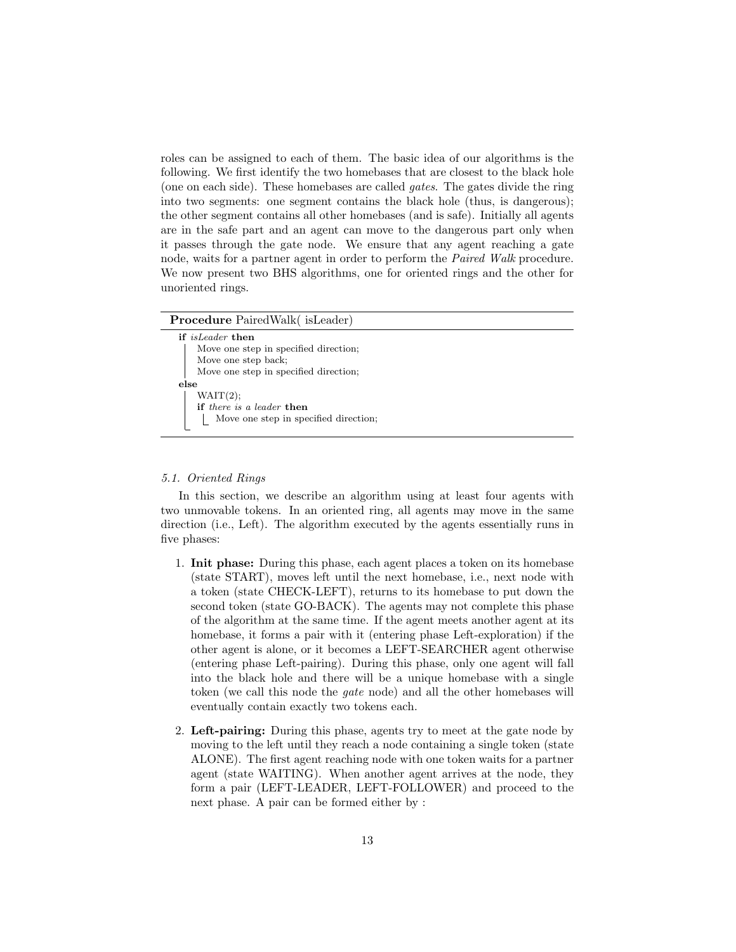roles can be assigned to each of them. The basic idea of our algorithms is the following. We first identify the two homebases that are closest to the black hole (one on each side). These homebases are called gates. The gates divide the ring into two segments: one segment contains the black hole (thus, is dangerous); the other segment contains all other homebases (and is safe). Initially all agents are in the safe part and an agent can move to the dangerous part only when it passes through the gate node. We ensure that any agent reaching a gate node, waits for a partner agent in order to perform the Paired Walk procedure. We now present two BHS algorithms, one for oriented rings and the other for unoriented rings.

| <b>Procedure</b> PairedWalk(isLeader) |
|---------------------------------------|
| if <i>isLeader</i> then               |
| Move one step in specified direction; |
| Move one step back;                   |
| Move one step in specified direction; |
| else                                  |
| WAIT(2);                              |
| if there is a leader then             |
| Move one step in specified direction; |

## 5.1. Oriented Rings

In this section, we describe an algorithm using at least four agents with two unmovable tokens. In an oriented ring, all agents may move in the same direction (i.e., Left). The algorithm executed by the agents essentially runs in five phases:

- 1. Init phase: During this phase, each agent places a token on its homebase (state START), moves left until the next homebase, i.e., next node with a token (state CHECK-LEFT), returns to its homebase to put down the second token (state GO-BACK). The agents may not complete this phase of the algorithm at the same time. If the agent meets another agent at its homebase, it forms a pair with it (entering phase Left-exploration) if the other agent is alone, or it becomes a LEFT-SEARCHER agent otherwise (entering phase Left-pairing). During this phase, only one agent will fall into the black hole and there will be a unique homebase with a single token (we call this node the gate node) and all the other homebases will eventually contain exactly two tokens each.
- 2. Left-pairing: During this phase, agents try to meet at the gate node by moving to the left until they reach a node containing a single token (state ALONE). The first agent reaching node with one token waits for a partner agent (state WAITING). When another agent arrives at the node, they form a pair (LEFT-LEADER, LEFT-FOLLOWER) and proceed to the next phase. A pair can be formed either by :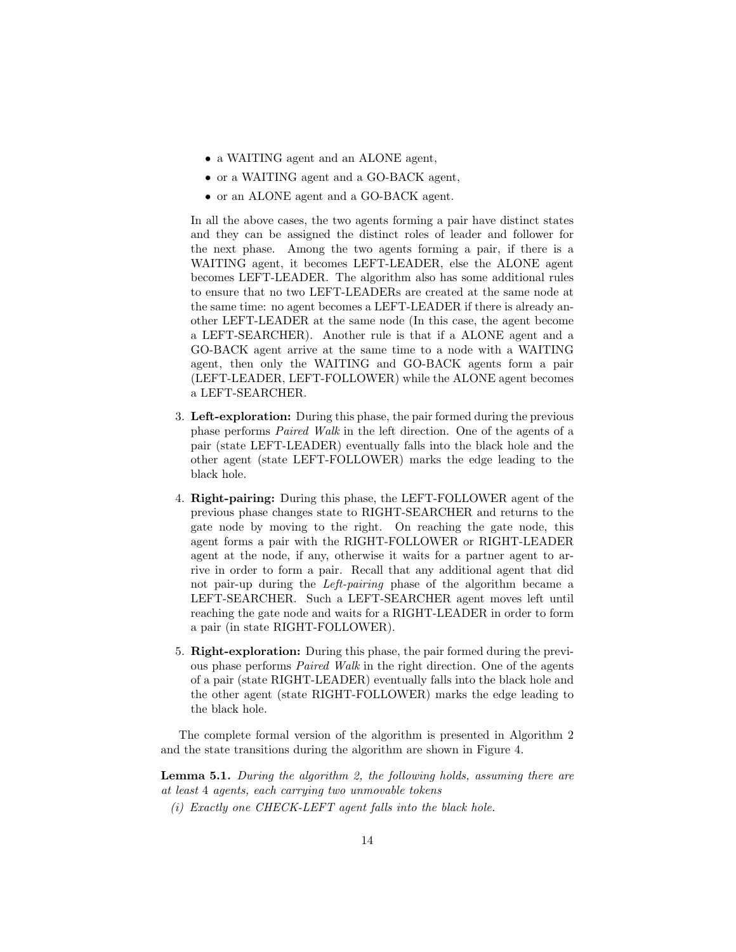- a WAITING agent and an ALONE agent,
- or a WAITING agent and a GO-BACK agent,
- or an ALONE agent and a GO-BACK agent.

In all the above cases, the two agents forming a pair have distinct states and they can be assigned the distinct roles of leader and follower for the next phase. Among the two agents forming a pair, if there is a WAITING agent, it becomes LEFT-LEADER, else the ALONE agent becomes LEFT-LEADER. The algorithm also has some additional rules to ensure that no two LEFT-LEADERs are created at the same node at the same time: no agent becomes a LEFT-LEADER if there is already another LEFT-LEADER at the same node (In this case, the agent become a LEFT-SEARCHER). Another rule is that if a ALONE agent and a GO-BACK agent arrive at the same time to a node with a WAITING agent, then only the WAITING and GO-BACK agents form a pair (LEFT-LEADER, LEFT-FOLLOWER) while the ALONE agent becomes a LEFT-SEARCHER.

- 3. Left-exploration: During this phase, the pair formed during the previous phase performs Paired Walk in the left direction. One of the agents of a pair (state LEFT-LEADER) eventually falls into the black hole and the other agent (state LEFT-FOLLOWER) marks the edge leading to the black hole.
- 4. Right-pairing: During this phase, the LEFT-FOLLOWER agent of the previous phase changes state to RIGHT-SEARCHER and returns to the gate node by moving to the right. On reaching the gate node, this agent forms a pair with the RIGHT-FOLLOWER or RIGHT-LEADER agent at the node, if any, otherwise it waits for a partner agent to arrive in order to form a pair. Recall that any additional agent that did not pair-up during the *Left-pairing* phase of the algorithm became a LEFT-SEARCHER. Such a LEFT-SEARCHER agent moves left until reaching the gate node and waits for a RIGHT-LEADER in order to form a pair (in state RIGHT-FOLLOWER).
- 5. Right-exploration: During this phase, the pair formed during the previous phase performs Paired Walk in the right direction. One of the agents of a pair (state RIGHT-LEADER) eventually falls into the black hole and the other agent (state RIGHT-FOLLOWER) marks the edge leading to the black hole.

The complete formal version of the algorithm is presented in Algorithm 2 and the state transitions during the algorithm are shown in Figure 4.

Lemma 5.1. During the algorithm 2, the following holds, assuming there are at least 4 agents, each carrying two unmovable tokens

(i) Exactly one CHECK-LEFT agent falls into the black hole.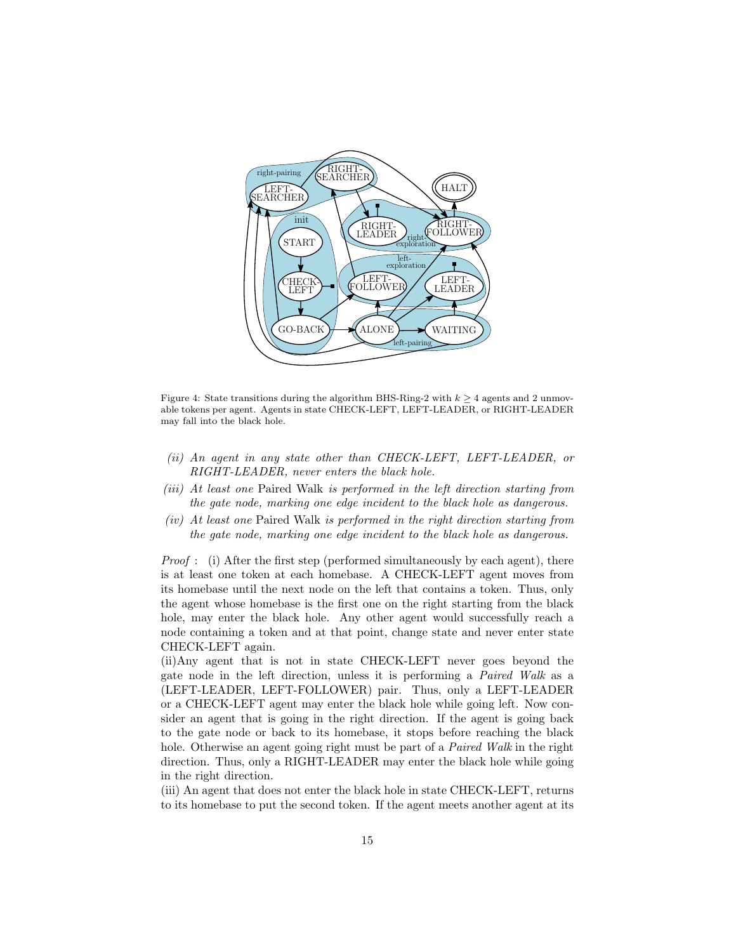

Figure 4: State transitions during the algorithm BHS-Ring-2 with  $k \geq 4$  agents and 2 unmovable tokens per agent. Agents in state CHECK-LEFT, LEFT-LEADER, or RIGHT-LEADER may fall into the black hole.

- (ii) An agent in any state other than CHECK-LEFT, LEFT-LEADER, or RIGHT-LEADER, never enters the black hole.
- (iii) At least one Paired Walk is performed in the left direction starting from the gate node, marking one edge incident to the black hole as dangerous.
- (iv) At least one Paired Walk is performed in the right direction starting from the gate node, marking one edge incident to the black hole as dangerous.

*Proof* : (i) After the first step (performed simultaneously by each agent), there is at least one token at each homebase. A CHECK-LEFT agent moves from its homebase until the next node on the left that contains a token. Thus, only the agent whose homebase is the first one on the right starting from the black hole, may enter the black hole. Any other agent would successfully reach a node containing a token and at that point, change state and never enter state CHECK-LEFT again.

(ii)Any agent that is not in state CHECK-LEFT never goes beyond the gate node in the left direction, unless it is performing a Paired Walk as a (LEFT-LEADER, LEFT-FOLLOWER) pair. Thus, only a LEFT-LEADER or a CHECK-LEFT agent may enter the black hole while going left. Now consider an agent that is going in the right direction. If the agent is going back to the gate node or back to its homebase, it stops before reaching the black hole. Otherwise an agent going right must be part of a *Paired Walk* in the right direction. Thus, only a RIGHT-LEADER may enter the black hole while going in the right direction.

(iii) An agent that does not enter the black hole in state CHECK-LEFT, returns to its homebase to put the second token. If the agent meets another agent at its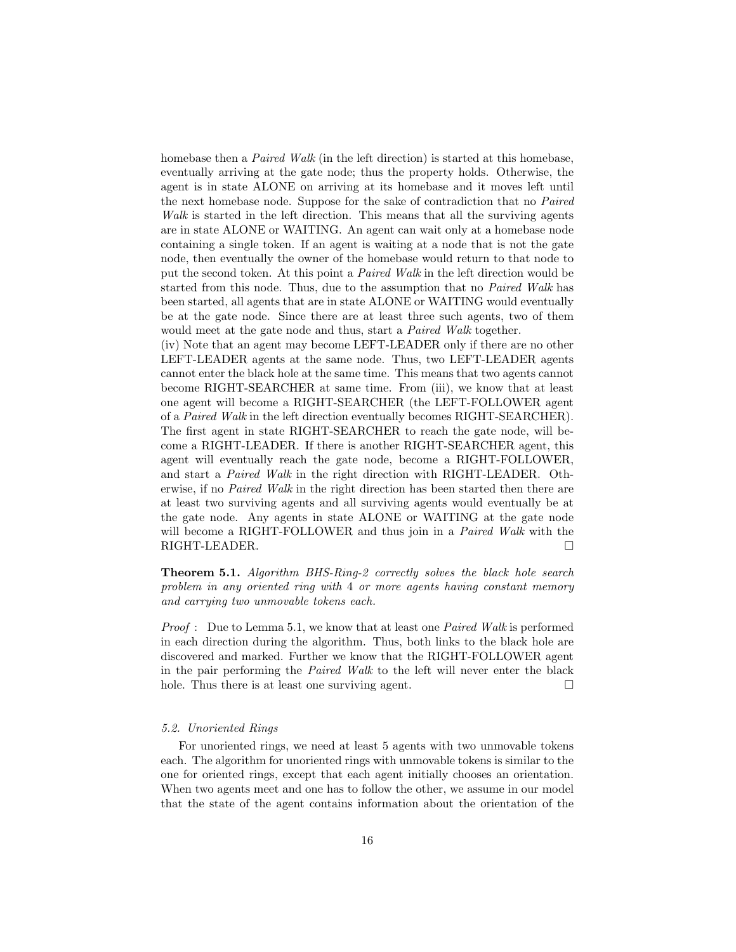homebase then a *Paired Walk* (in the left direction) is started at this homebase, eventually arriving at the gate node; thus the property holds. Otherwise, the agent is in state ALONE on arriving at its homebase and it moves left until the next homebase node. Suppose for the sake of contradiction that no Paired Walk is started in the left direction. This means that all the surviving agents are in state ALONE or WAITING. An agent can wait only at a homebase node containing a single token. If an agent is waiting at a node that is not the gate node, then eventually the owner of the homebase would return to that node to put the second token. At this point a Paired Walk in the left direction would be started from this node. Thus, due to the assumption that no Paired Walk has been started, all agents that are in state ALONE or WAITING would eventually be at the gate node. Since there are at least three such agents, two of them would meet at the gate node and thus, start a *Paired Walk* together.

(iv) Note that an agent may become LEFT-LEADER only if there are no other LEFT-LEADER agents at the same node. Thus, two LEFT-LEADER agents cannot enter the black hole at the same time. This means that two agents cannot become RIGHT-SEARCHER at same time. From (iii), we know that at least one agent will become a RIGHT-SEARCHER (the LEFT-FOLLOWER agent of a Paired Walk in the left direction eventually becomes RIGHT-SEARCHER). The first agent in state RIGHT-SEARCHER to reach the gate node, will become a RIGHT-LEADER. If there is another RIGHT-SEARCHER agent, this agent will eventually reach the gate node, become a RIGHT-FOLLOWER, and start a Paired Walk in the right direction with RIGHT-LEADER. Otherwise, if no Paired Walk in the right direction has been started then there are at least two surviving agents and all surviving agents would eventually be at the gate node. Any agents in state ALONE or WAITING at the gate node will become a RIGHT-FOLLOWER and thus join in a *Paired Walk* with the RIGHT-LEADER.

Theorem 5.1. Algorithm BHS-Ring-2 correctly solves the black hole search problem in any oriented ring with 4 or more agents having constant memory and carrying two unmovable tokens each.

Proof : Due to Lemma 5.1, we know that at least one *Paired Walk* is performed in each direction during the algorithm. Thus, both links to the black hole are discovered and marked. Further we know that the RIGHT-FOLLOWER agent in the pair performing the Paired Walk to the left will never enter the black hole. Thus there is at least one surviving agent.  $\Box$ 

#### 5.2. Unoriented Rings

For unoriented rings, we need at least 5 agents with two unmovable tokens each. The algorithm for unoriented rings with unmovable tokens is similar to the one for oriented rings, except that each agent initially chooses an orientation. When two agents meet and one has to follow the other, we assume in our model that the state of the agent contains information about the orientation of the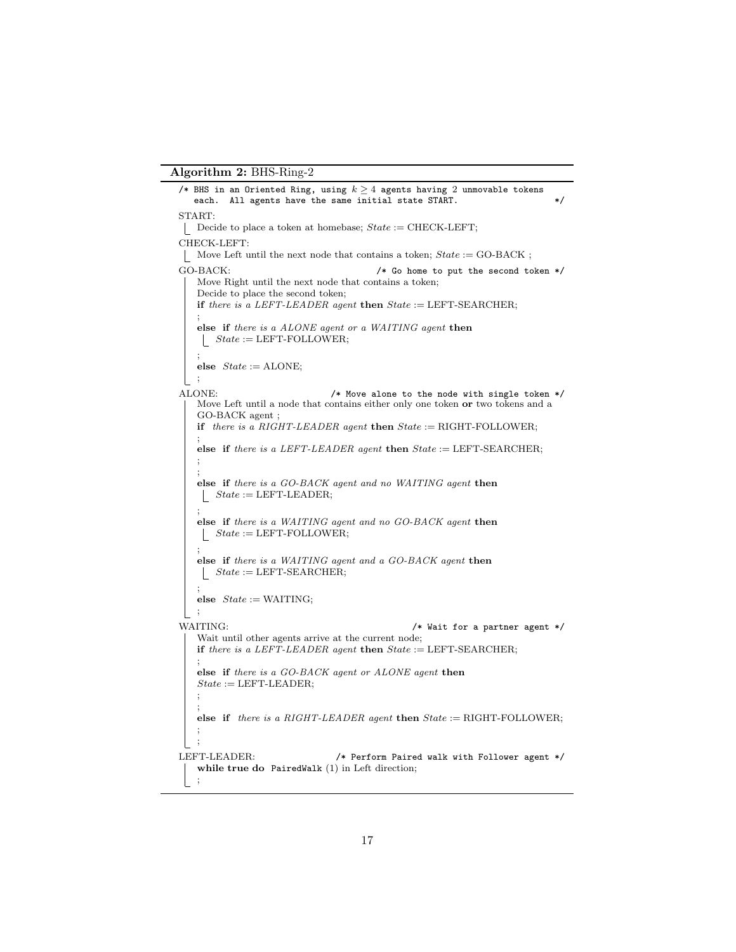# Algorithm 2: BHS-Ring-2

/\* BHS in an Oriented Ring, using  $k \geq 4$  agents having  $2$  unmovable tokens each. All agents have the same initial state START.  $*/$ START: Decide to place a token at homebase;  $State := \text{CHECK-LEFT};$ CHECK-LEFT: | Move Left until the next node that contains a token;  $State := GO-BACK$ ; GO-BACK:  $/*$  Go home to put the second token  $*/$ Move Right until the next node that contains a token; Decide to place the second token; if there is a LEFT-LEADER agent then  $State := LEFT-SEARCH$ CHER; ; else if there is a ALONE agent or a WAITING agent then  $\vert$  State := LEFT-FOLLOWER; ; else  $State := \text{ALONE}$ ; ; ALONE: /\* Move alone to the node with single token \*/ Move Left until a node that contains either only one token or two tokens and a GO-BACK agent ; if there is a RIGHT-LEADER agent then  $State := RIGHT-FOLLOWER;$ ; else if there is a LEFT-LEADER agent then  $State := LEFT-SEARCH$ CHER; ; ; else if there is a GO-BACK agent and no WAITING agent then  $State := \text{LEFT-LEADER};$ ; else if there is a WAITING agent and no GO-BACK agent then  $State := \text{LEFT-FOLLOWER};$ ; else if there is a WAITING agent and a GO-BACK agent then  $State := \text{LEFT-SEARCH}$ ; ; else  $State := WAITING;$ ; WAITING:  $\sqrt{\frac{1}{\pi}}$  /\* Wait for a partner agent \*/ Wait until other agents arrive at the current node; if there is a LEFT-LEADER agent then  $State := \text{LEFT-SEARCH}$ ; ; else if there is a GO-BACK agent or ALONE agent then  $State := LEFT-LEADER;$ ; ; else if there is a RIGHT-LEADER agent then  $State := RIGHT-FOLLOWER;$ ; ; LEFT-LEADER:  $/*$  Perform Paired walk with Follower agent  $*/$ while true do PairedWalk (1) in Left direction; ;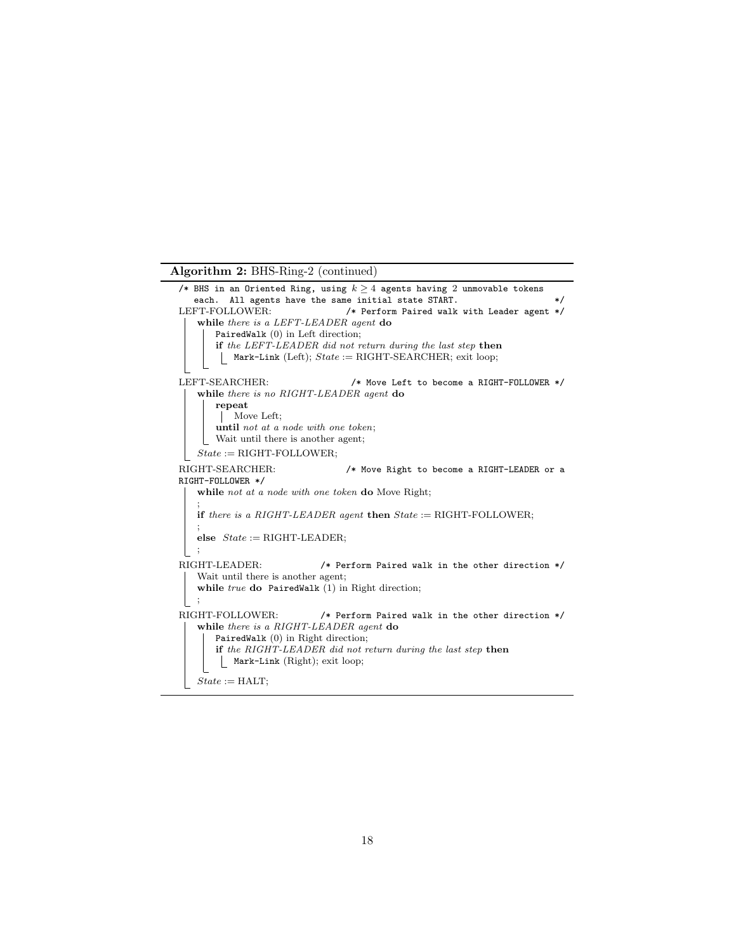# Algorithm 2: BHS-Ring-2 (continued)

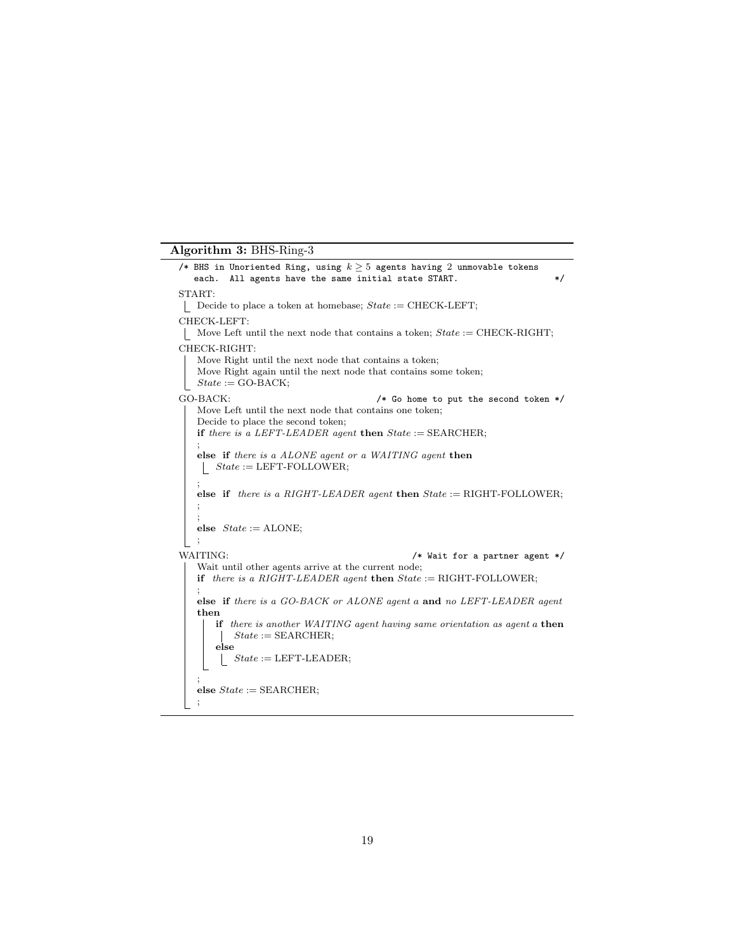# Algorithm 3: BHS-Ring-3

/\* BHS in Unoriented Ring, using  $k \geq 5$  agents having 2 unmovable tokens each. All agents have the same initial state START.  $* /$ START: Decide to place a token at homebase;  $State := \text{CHECK-LEFT}$ ; CHECK-LEFT: Move Left until the next node that contains a token;  $State := \text{CHECK-RIGHT}$ ; CHECK-RIGHT: Move Right until the next node that contains a token; Move Right again until the next node that contains some token;  $State := GO-BACK;$ GO-BACK:  $/*$  Go home to put the second token  $*/$ Move Left until the next node that contains one token; Decide to place the second token; if there is a LEFT-LEADER agent then  $State := SEARCH$ . ; else if there is a ALONE agent or a WAITING agent then  $\vert$   $State := LEFT-FOLLOWER;$ ; else if there is a RIGHT-LEADER agent then  $State := RIGHT-FOLLOWER;$ ; ; else  $State := \text{ALONE}$ ; ; WAITING:  $\sqrt{\frac{1}{\sqrt{2}}}$  /\* Wait for a partner agent \*/ Wait until other agents arrive at the current node; if there is a RIGHT-LEADER agent then  $State := RIGHT-FOLLOWER;$ ; else if there is a GO-BACK or ALONE agent a and no LEFT-LEADER agent then if there is another WAITING agent having same orientation as agent a then  $State := \text{SEARCHER};$ else State := LEFT-LEADER; ; else  $State := \text{SEARCHER};$ ;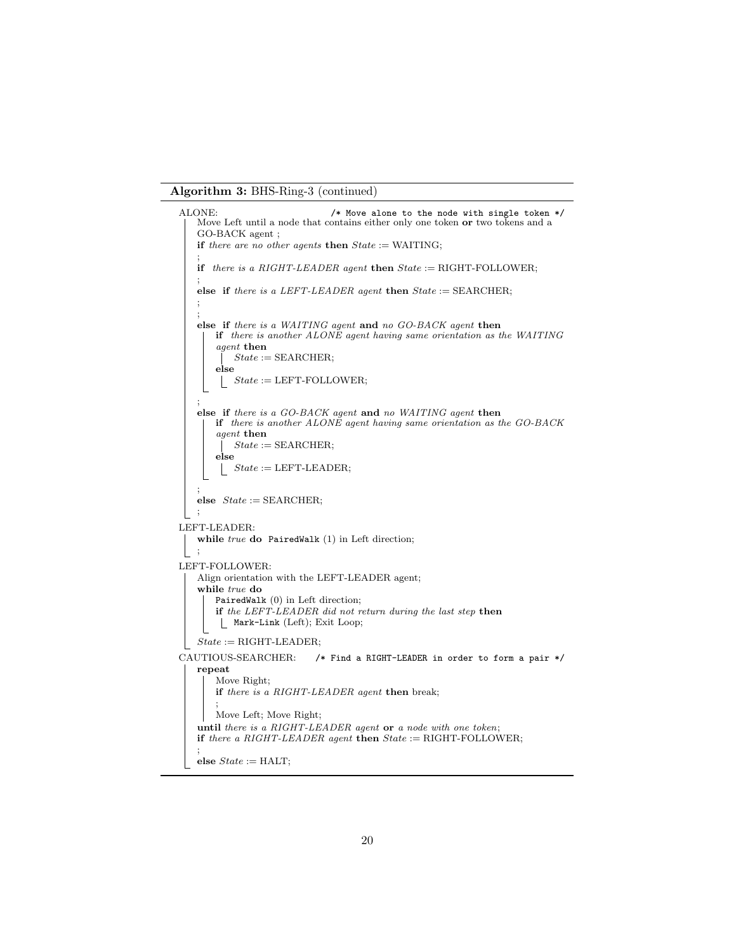# Algorithm 3: BHS-Ring-3 (continued)

```
ALONE: /* Move alone to the node with single token */
   Move Left until a node that contains either only one token or two tokens and a
   GO-BACK agent ;
   if there are no other agents then State := \text{WAITING};;
   if there is a RIGHT-LEADER agent then State := RIGHT-FOLLOWER;;
   else if there is a LEFT-LEADER agent then State := \text{SEARCHER};;
    ;
   else if there is a WAITING agent and no GO-BACK agent then
       if there is another ALONE agent having same orientation as the WAITING
       agent then
           State := \text{SEARCHER};else
        State := LEFT-FOLLOWER;
    ;
   else if there is a GO-BACK agent and no WAITING agent then
       if there is another ALONE agent having same orientation as the GO-BACK
       agent then
          State := SEARCHER;else
        State := LEFT-LEADER;
    ;
   else State := \text{SEARCHER};;
LEFT-LEADER:
   while true do PairedWalk (1) in Left direction;
    ;
LEFT-FOLLOWER:
   Align orientation with the LEFT-LEADER agent;
   while true do
       PairedWalk (0) in Left direction;
       if the LEFT-LEADER did not return during the last step then
       | Mark-Link (Left); Exit Loop;
   State := RIGHT-LEADER;CAUTIOUS-SEARCHER: /* Find a RIGHT-LEADER in order to form a pair */
   repeat
       Move Right;
       if there is a RIGHT-LEADER agent then break;
       ;
       Move Left; Move Right;
   until there is a RIGHT-LEADER agent or a node with one token;
   if there a RIGHT-LEADER agent then State := RIGHT-FOLLOWER;;
   else State := HALT;
```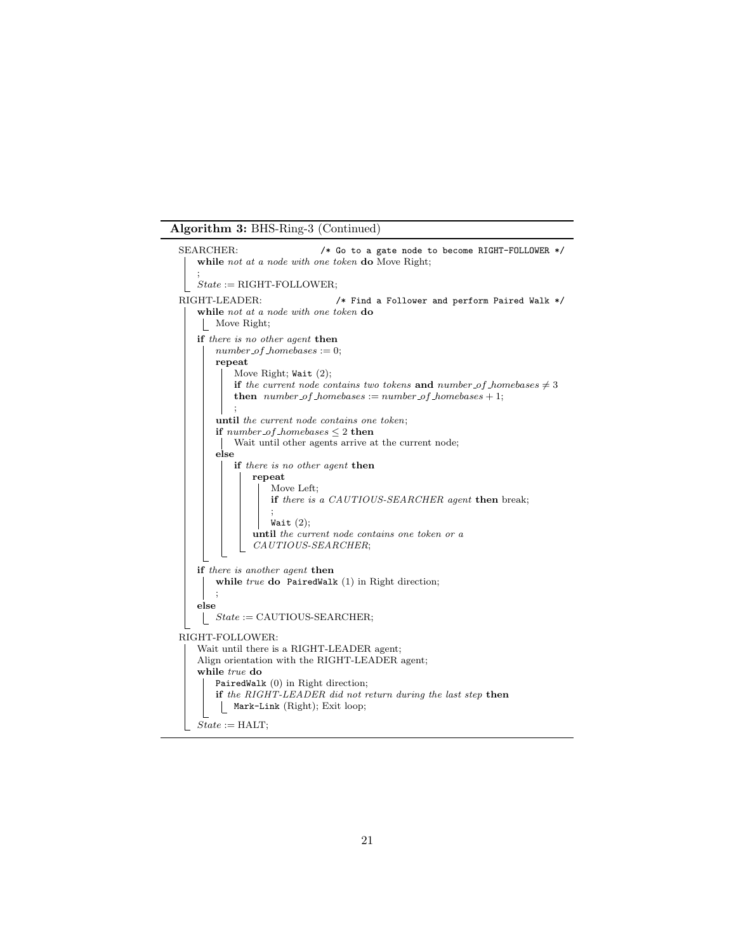#### Algorithm 3: BHS-Ring-3 (Continued)

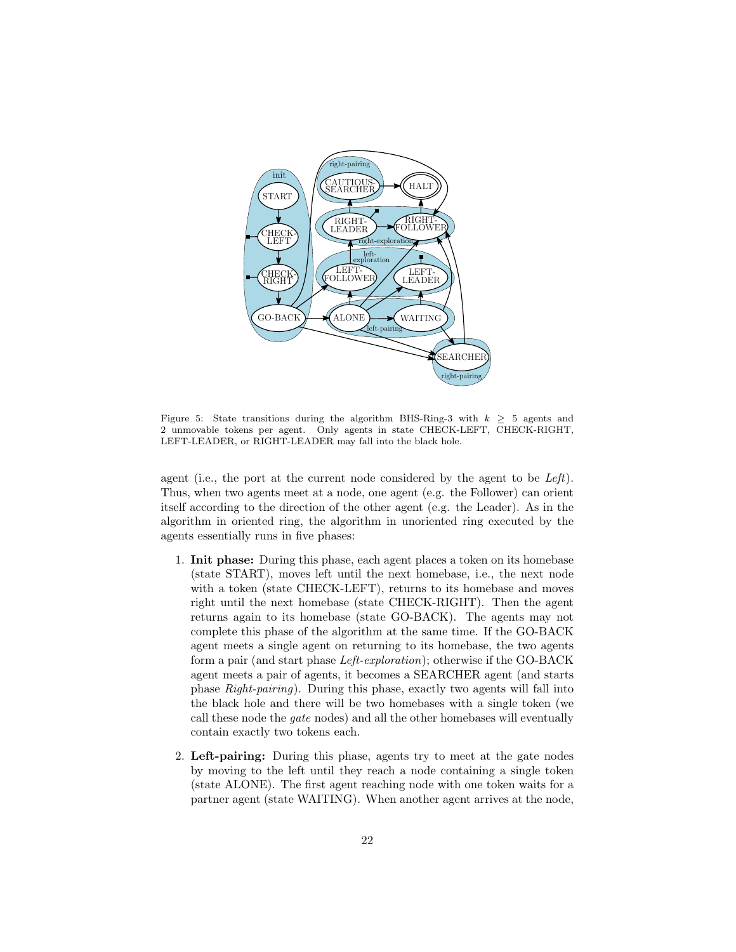

Figure 5: State transitions during the algorithm BHS-Ring-3 with  $k \geq 5$  agents and 2 unmovable tokens per agent. Only agents in state CHECK-LEFT, CHECK-RIGHT, LEFT-LEADER, or RIGHT-LEADER may fall into the black hole.

agent (i.e., the port at the current node considered by the agent to be  $Left$ ). Thus, when two agents meet at a node, one agent (e.g. the Follower) can orient itself according to the direction of the other agent (e.g. the Leader). As in the algorithm in oriented ring, the algorithm in unoriented ring executed by the agents essentially runs in five phases:

- 1. Init phase: During this phase, each agent places a token on its homebase (state START), moves left until the next homebase, i.e., the next node with a token (state CHECK-LEFT), returns to its homebase and moves right until the next homebase (state CHECK-RIGHT). Then the agent returns again to its homebase (state GO-BACK). The agents may not complete this phase of the algorithm at the same time. If the GO-BACK agent meets a single agent on returning to its homebase, the two agents form a pair (and start phase Left-exploration); otherwise if the GO-BACK agent meets a pair of agents, it becomes a SEARCHER agent (and starts phase Right-pairing). During this phase, exactly two agents will fall into the black hole and there will be two homebases with a single token (we call these node the gate nodes) and all the other homebases will eventually contain exactly two tokens each.
- 2. Left-pairing: During this phase, agents try to meet at the gate nodes by moving to the left until they reach a node containing a single token (state ALONE). The first agent reaching node with one token waits for a partner agent (state WAITING). When another agent arrives at the node,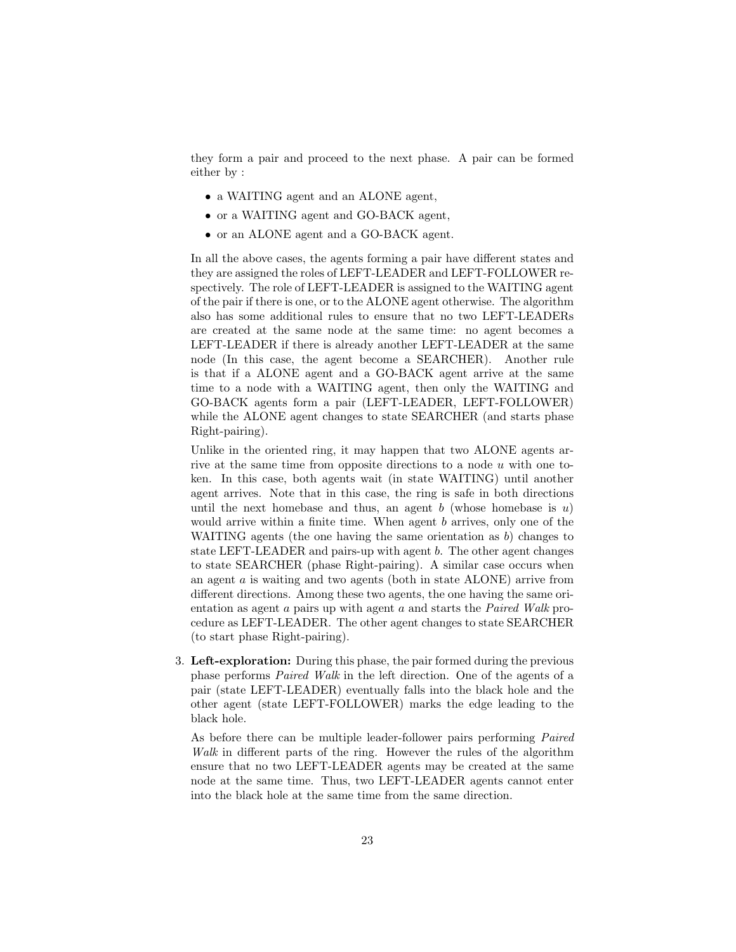they form a pair and proceed to the next phase. A pair can be formed either by :

- a WAITING agent and an ALONE agent,
- or a WAITING agent and GO-BACK agent,
- or an ALONE agent and a GO-BACK agent.

In all the above cases, the agents forming a pair have different states and they are assigned the roles of LEFT-LEADER and LEFT-FOLLOWER respectively. The role of LEFT-LEADER is assigned to the WAITING agent of the pair if there is one, or to the ALONE agent otherwise. The algorithm also has some additional rules to ensure that no two LEFT-LEADERs are created at the same node at the same time: no agent becomes a LEFT-LEADER if there is already another LEFT-LEADER at the same node (In this case, the agent become a SEARCHER). Another rule is that if a ALONE agent and a GO-BACK agent arrive at the same time to a node with a WAITING agent, then only the WAITING and GO-BACK agents form a pair (LEFT-LEADER, LEFT-FOLLOWER) while the ALONE agent changes to state SEARCHER (and starts phase Right-pairing).

Unlike in the oriented ring, it may happen that two ALONE agents arrive at the same time from opposite directions to a node u with one token. In this case, both agents wait (in state WAITING) until another agent arrives. Note that in this case, the ring is safe in both directions until the next homebase and thus, an agent  $b$  (whose homebase is  $u$ ) would arrive within a finite time. When agent b arrives, only one of the WAITING agents (the one having the same orientation as  $b$ ) changes to state LEFT-LEADER and pairs-up with agent b. The other agent changes to state SEARCHER (phase Right-pairing). A similar case occurs when an agent  $\alpha$  is waiting and two agents (both in state ALONE) arrive from different directions. Among these two agents, the one having the same orientation as agent a pairs up with agent a and starts the Paired Walk procedure as LEFT-LEADER. The other agent changes to state SEARCHER (to start phase Right-pairing).

3. Left-exploration: During this phase, the pair formed during the previous phase performs Paired Walk in the left direction. One of the agents of a pair (state LEFT-LEADER) eventually falls into the black hole and the other agent (state LEFT-FOLLOWER) marks the edge leading to the black hole.

As before there can be multiple leader-follower pairs performing *Paired* Walk in different parts of the ring. However the rules of the algorithm ensure that no two LEFT-LEADER agents may be created at the same node at the same time. Thus, two LEFT-LEADER agents cannot enter into the black hole at the same time from the same direction.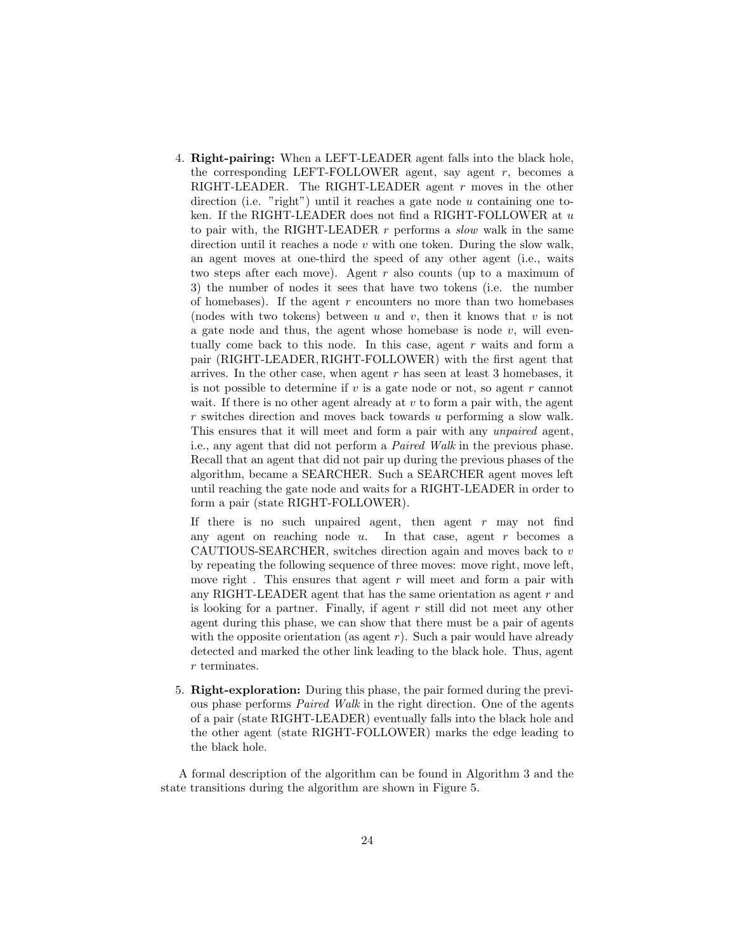4. Right-pairing: When a LEFT-LEADER agent falls into the black hole, the corresponding LEFT-FOLLOWER agent, say agent  $r$ , becomes a RIGHT-LEADER. The RIGHT-LEADER agent r moves in the other direction (i.e. "right") until it reaches a gate node u containing one token. If the RIGHT-LEADER does not find a RIGHT-FOLLOWER at  $u$ to pair with, the RIGHT-LEADER  $r$  performs a *slow* walk in the same direction until it reaches a node  $v$  with one token. During the slow walk, an agent moves at one-third the speed of any other agent (i.e., waits two steps after each move). Agent  $r$  also counts (up to a maximum of 3) the number of nodes it sees that have two tokens (i.e. the number of homebases). If the agent  $r$  encounters no more than two homebases (nodes with two tokens) between  $u$  and  $v$ , then it knows that  $v$  is not a gate node and thus, the agent whose homebase is node  $v$ , will eventually come back to this node. In this case, agent r waits and form a pair (RIGHT-LEADER, RIGHT-FOLLOWER) with the first agent that arrives. In the other case, when agent  $r$  has seen at least 3 homebases, it is not possible to determine if  $v$  is a gate node or not, so agent  $r$  cannot wait. If there is no other agent already at  $v$  to form a pair with, the agent  $r$  switches direction and moves back towards  $u$  performing a slow walk. This ensures that it will meet and form a pair with any unpaired agent, i.e., any agent that did not perform a Paired Walk in the previous phase. Recall that an agent that did not pair up during the previous phases of the algorithm, became a SEARCHER. Such a SEARCHER agent moves left until reaching the gate node and waits for a RIGHT-LEADER in order to form a pair (state RIGHT-FOLLOWER).

If there is no such unpaired agent, then agent  $r$  may not find any agent on reaching node  $u$ . In that case, agent  $r$  becomes a CAUTIOUS-SEARCHER, switches direction again and moves back to  $v$ by repeating the following sequence of three moves: move right, move left, move right. This ensures that agent  $r$  will meet and form a pair with any RIGHT-LEADER agent that has the same orientation as agent  $r$  and is looking for a partner. Finally, if agent  $r$  still did not meet any other agent during this phase, we can show that there must be a pair of agents with the opposite orientation (as agent  $r$ ). Such a pair would have already detected and marked the other link leading to the black hole. Thus, agent r terminates.

5. Right-exploration: During this phase, the pair formed during the previous phase performs Paired Walk in the right direction. One of the agents of a pair (state RIGHT-LEADER) eventually falls into the black hole and the other agent (state RIGHT-FOLLOWER) marks the edge leading to the black hole.

A formal description of the algorithm can be found in Algorithm 3 and the state transitions during the algorithm are shown in Figure 5.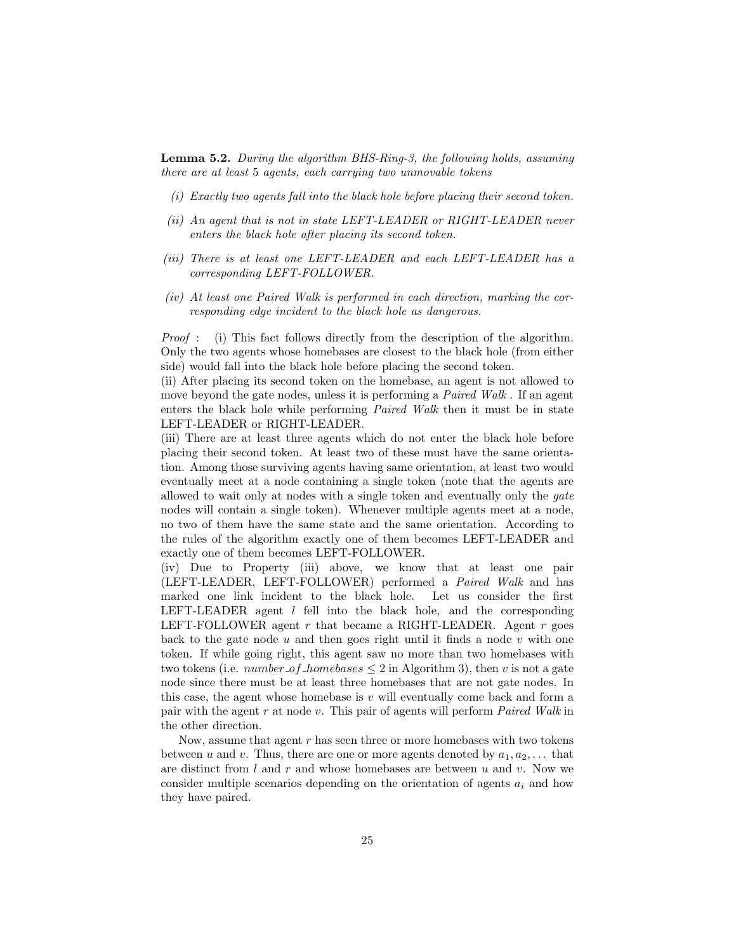Lemma 5.2. During the algorithm BHS-Ring-3, the following holds, assuming there are at least 5 agents, each carrying two unmovable tokens

- (i) Exactly two agents fall into the black hole before placing their second token.
- (ii) An agent that is not in state LEFT-LEADER or RIGHT-LEADER never enters the black hole after placing its second token.
- (iii) There is at least one LEFT-LEADER and each LEFT-LEADER has a corresponding LEFT-FOLLOWER.
- (iv) At least one Paired Walk is performed in each direction, marking the corresponding edge incident to the black hole as dangerous.

Proof : (i) This fact follows directly from the description of the algorithm. Only the two agents whose homebases are closest to the black hole (from either side) would fall into the black hole before placing the second token.

(ii) After placing its second token on the homebase, an agent is not allowed to move beyond the gate nodes, unless it is performing a *Paired Walk*. If an agent enters the black hole while performing Paired Walk then it must be in state LEFT-LEADER or RIGHT-LEADER.

(iii) There are at least three agents which do not enter the black hole before placing their second token. At least two of these must have the same orientation. Among those surviving agents having same orientation, at least two would eventually meet at a node containing a single token (note that the agents are allowed to wait only at nodes with a single token and eventually only the gate nodes will contain a single token). Whenever multiple agents meet at a node, no two of them have the same state and the same orientation. According to the rules of the algorithm exactly one of them becomes LEFT-LEADER and exactly one of them becomes LEFT-FOLLOWER.

(iv) Due to Property (iii) above, we know that at least one pair (LEFT-LEADER, LEFT-FOLLOWER) performed a Paired Walk and has marked one link incident to the black hole. Let us consider the first LEFT-LEADER agent  $l$  fell into the black hole, and the corresponding LEFT-FOLLOWER agent  $r$  that became a RIGHT-LEADER. Agent  $r$  goes back to the gate node  $u$  and then goes right until it finds a node  $v$  with one token. If while going right, this agent saw no more than two homebases with two tokens (i.e. *number of homebases*  $\leq 2$  in Algorithm 3), then v is not a gate node since there must be at least three homebases that are not gate nodes. In this case, the agent whose homebase is v will eventually come back and form a pair with the agent r at node v. This pair of agents will perform Paired Walk in the other direction.

Now, assume that agent  $r$  has seen three or more homebases with two tokens between u and v. Thus, there are one or more agents denoted by  $a_1, a_2, \ldots$  that are distinct from  $l$  and  $r$  and whose homebases are between  $u$  and  $v$ . Now we consider multiple scenarios depending on the orientation of agents  $a_i$  and how they have paired.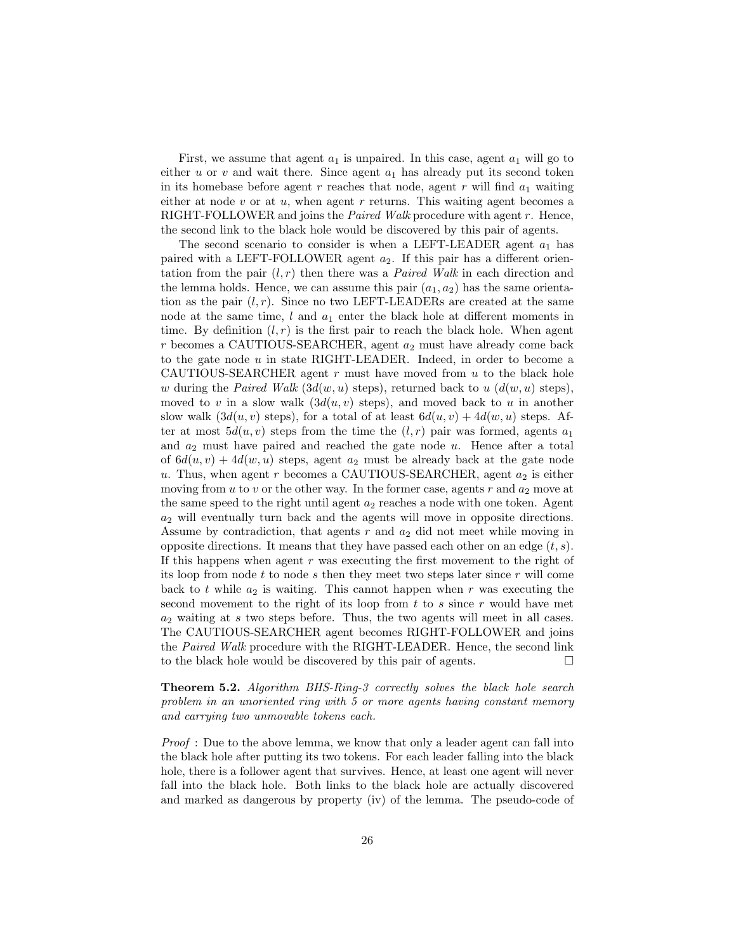First, we assume that agent  $a_1$  is unpaired. In this case, agent  $a_1$  will go to either u or v and wait there. Since agent  $a_1$  has already put its second token in its homebase before agent r reaches that node, agent r will find  $a_1$  waiting either at node  $v$  or at  $u$ , when agent  $r$  returns. This waiting agent becomes a RIGHT-FOLLOWER and joins the Paired Walk procedure with agent r. Hence, the second link to the black hole would be discovered by this pair of agents.

The second scenario to consider is when a LEFT-LEADER agent  $a_1$  has paired with a LEFT-FOLLOWER agent  $a_2$ . If this pair has a different orientation from the pair  $(l, r)$  then there was a *Paired Walk* in each direction and the lemma holds. Hence, we can assume this pair  $(a_1, a_2)$  has the same orientation as the pair  $(l, r)$ . Since no two LEFT-LEADERs are created at the same node at the same time,  $l$  and  $a_1$  enter the black hole at different moments in time. By definition  $(l, r)$  is the first pair to reach the black hole. When agent r becomes a CAUTIOUS-SEARCHER, agent  $a_2$  must have already come back to the gate node  $u$  in state RIGHT-LEADER. Indeed, in order to become a CAUTIOUS-SEARCHER agent  $r$  must have moved from  $u$  to the black hole w during the Paired Walk  $(3d(w, u)$  steps), returned back to u  $(d(w, u)$  steps), moved to v in a slow walk  $(3d(u, v)$  steps), and moved back to u in another slow walk  $(3d(u, v)$  steps), for a total of at least  $6d(u, v) + 4d(w, u)$  steps. After at most  $5d(u, v)$  steps from the time the  $(l, r)$  pair was formed, agents  $a_1$ and  $a_2$  must have paired and reached the gate node u. Hence after a total of  $6d(u, v) + 4d(w, u)$  steps, agent  $a_2$  must be already back at the gate node u. Thus, when agent  $r$  becomes a CAUTIOUS-SEARCHER, agent  $a_2$  is either moving from  $u$  to  $v$  or the other way. In the former case, agents  $r$  and  $a_2$  move at the same speed to the right until agent  $a_2$  reaches a node with one token. Agent  $a_2$  will eventually turn back and the agents will move in opposite directions. Assume by contradiction, that agents r and  $a_2$  did not meet while moving in opposite directions. It means that they have passed each other on an edge  $(t, s)$ . If this happens when agent  $r$  was executing the first movement to the right of its loop from node  $t$  to node  $s$  then they meet two steps later since  $r$  will come back to t while  $a_2$  is waiting. This cannot happen when r was executing the second movement to the right of its loop from  $t$  to  $s$  since  $r$  would have met  $a_2$  waiting at s two steps before. Thus, the two agents will meet in all cases. The CAUTIOUS-SEARCHER agent becomes RIGHT-FOLLOWER and joins the Paired Walk procedure with the RIGHT-LEADER. Hence, the second link to the black hole would be discovered by this pair of agents.

Theorem 5.2. Algorithm BHS-Ring-3 correctly solves the black hole search problem in an unoriented ring with 5 or more agents having constant memory and carrying two unmovable tokens each.

Proof : Due to the above lemma, we know that only a leader agent can fall into the black hole after putting its two tokens. For each leader falling into the black hole, there is a follower agent that survives. Hence, at least one agent will never fall into the black hole. Both links to the black hole are actually discovered and marked as dangerous by property (iv) of the lemma. The pseudo-code of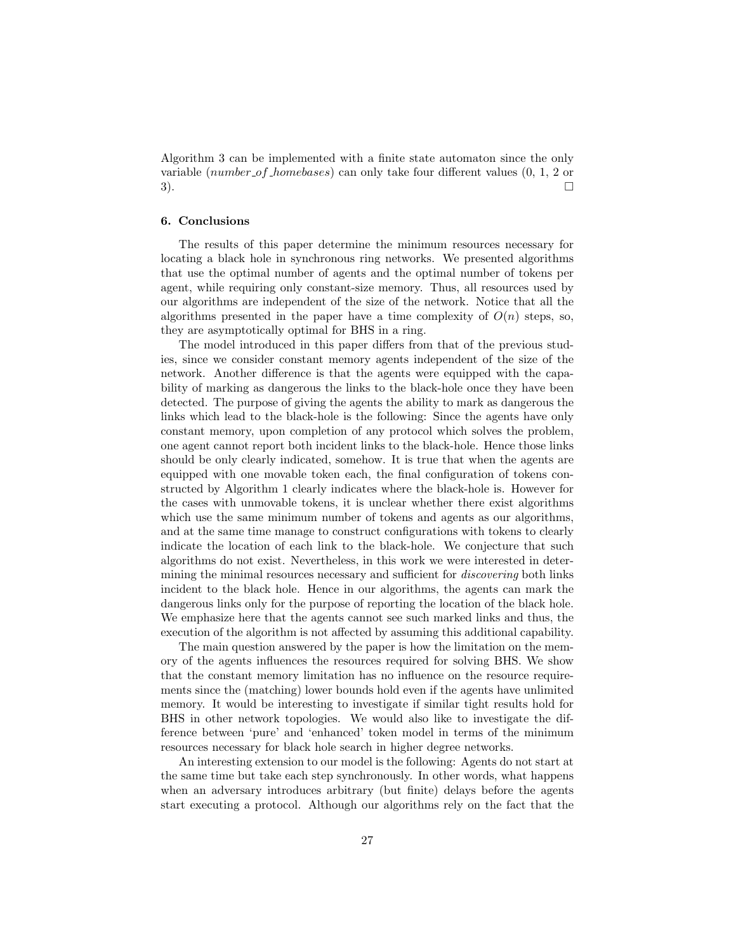Algorithm 3 can be implemented with a finite state automaton since the only variable (number of homebases) can only take four different values  $(0, 1, 2)$  or  $3)$ .

# 6. Conclusions

The results of this paper determine the minimum resources necessary for locating a black hole in synchronous ring networks. We presented algorithms that use the optimal number of agents and the optimal number of tokens per agent, while requiring only constant-size memory. Thus, all resources used by our algorithms are independent of the size of the network. Notice that all the algorithms presented in the paper have a time complexity of  $O(n)$  steps, so, they are asymptotically optimal for BHS in a ring.

The model introduced in this paper differs from that of the previous studies, since we consider constant memory agents independent of the size of the network. Another difference is that the agents were equipped with the capability of marking as dangerous the links to the black-hole once they have been detected. The purpose of giving the agents the ability to mark as dangerous the links which lead to the black-hole is the following: Since the agents have only constant memory, upon completion of any protocol which solves the problem, one agent cannot report both incident links to the black-hole. Hence those links should be only clearly indicated, somehow. It is true that when the agents are equipped with one movable token each, the final configuration of tokens constructed by Algorithm 1 clearly indicates where the black-hole is. However for the cases with unmovable tokens, it is unclear whether there exist algorithms which use the same minimum number of tokens and agents as our algorithms, and at the same time manage to construct configurations with tokens to clearly indicate the location of each link to the black-hole. We conjecture that such algorithms do not exist. Nevertheless, in this work we were interested in determining the minimal resources necessary and sufficient for discovering both links incident to the black hole. Hence in our algorithms, the agents can mark the dangerous links only for the purpose of reporting the location of the black hole. We emphasize here that the agents cannot see such marked links and thus, the execution of the algorithm is not affected by assuming this additional capability.

The main question answered by the paper is how the limitation on the memory of the agents influences the resources required for solving BHS. We show that the constant memory limitation has no influence on the resource requirements since the (matching) lower bounds hold even if the agents have unlimited memory. It would be interesting to investigate if similar tight results hold for BHS in other network topologies. We would also like to investigate the difference between 'pure' and 'enhanced' token model in terms of the minimum resources necessary for black hole search in higher degree networks.

An interesting extension to our model is the following: Agents do not start at the same time but take each step synchronously. In other words, what happens when an adversary introduces arbitrary (but finite) delays before the agents start executing a protocol. Although our algorithms rely on the fact that the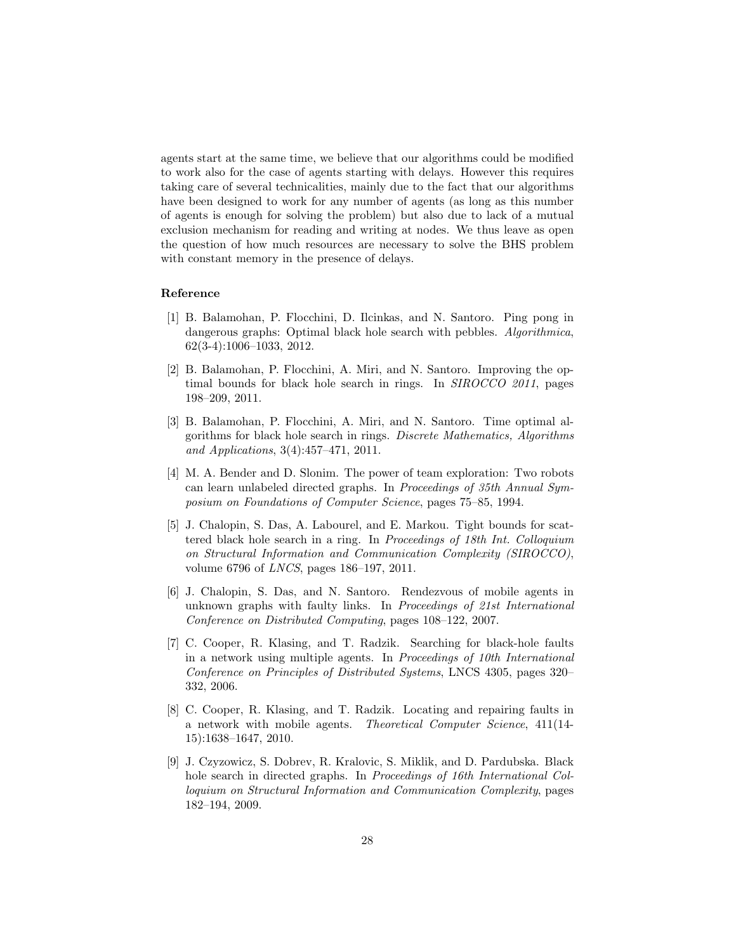agents start at the same time, we believe that our algorithms could be modified to work also for the case of agents starting with delays. However this requires taking care of several technicalities, mainly due to the fact that our algorithms have been designed to work for any number of agents (as long as this number of agents is enough for solving the problem) but also due to lack of a mutual exclusion mechanism for reading and writing at nodes. We thus leave as open the question of how much resources are necessary to solve the BHS problem with constant memory in the presence of delays.

# Reference

- [1] B. Balamohan, P. Flocchini, D. Ilcinkas, and N. Santoro. Ping pong in dangerous graphs: Optimal black hole search with pebbles. Algorithmica, 62(3-4):1006–1033, 2012.
- [2] B. Balamohan, P. Flocchini, A. Miri, and N. Santoro. Improving the optimal bounds for black hole search in rings. In SIROCCO 2011, pages 198–209, 2011.
- [3] B. Balamohan, P. Flocchini, A. Miri, and N. Santoro. Time optimal algorithms for black hole search in rings. Discrete Mathematics, Algorithms and Applications, 3(4):457–471, 2011.
- [4] M. A. Bender and D. Slonim. The power of team exploration: Two robots can learn unlabeled directed graphs. In Proceedings of 35th Annual Symposium on Foundations of Computer Science, pages 75–85, 1994.
- [5] J. Chalopin, S. Das, A. Labourel, and E. Markou. Tight bounds for scattered black hole search in a ring. In Proceedings of 18th Int. Colloquium on Structural Information and Communication Complexity (SIROCCO), volume 6796 of LNCS, pages 186–197, 2011.
- [6] J. Chalopin, S. Das, and N. Santoro. Rendezvous of mobile agents in unknown graphs with faulty links. In Proceedings of 21st International Conference on Distributed Computing, pages 108–122, 2007.
- [7] C. Cooper, R. Klasing, and T. Radzik. Searching for black-hole faults in a network using multiple agents. In Proceedings of 10th International Conference on Principles of Distributed Systems, LNCS 4305, pages 320– 332, 2006.
- [8] C. Cooper, R. Klasing, and T. Radzik. Locating and repairing faults in a network with mobile agents. Theoretical Computer Science, 411(14- 15):1638–1647, 2010.
- [9] J. Czyzowicz, S. Dobrev, R. Kralovic, S. Miklik, and D. Pardubska. Black hole search in directed graphs. In Proceedings of 16th International Colloquium on Structural Information and Communication Complexity, pages 182–194, 2009.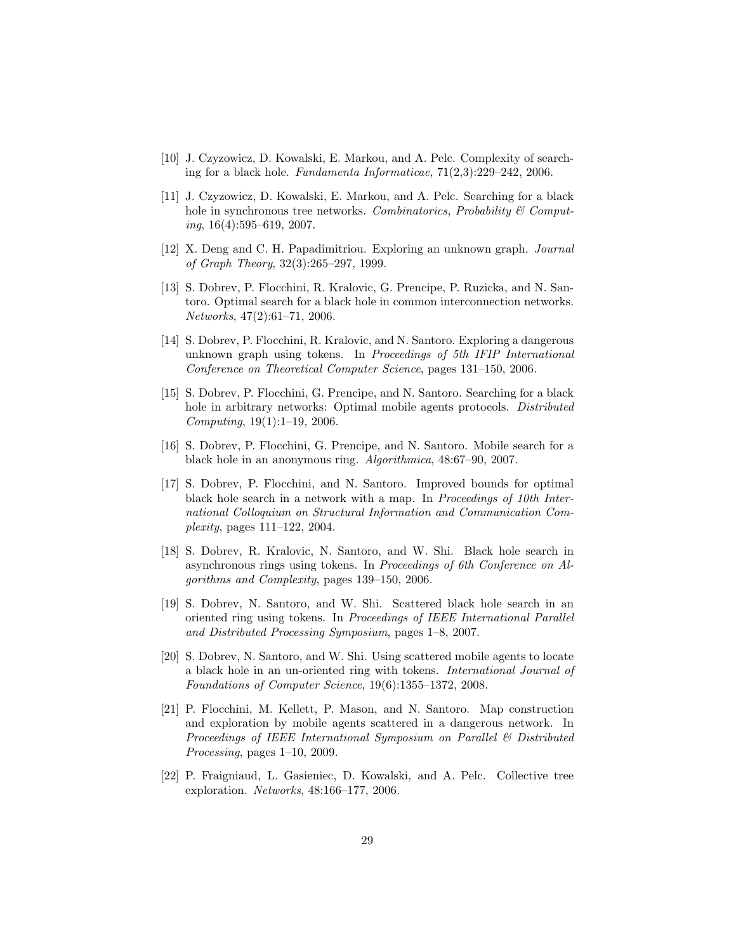- [10] J. Czyzowicz, D. Kowalski, E. Markou, and A. Pelc. Complexity of searching for a black hole. Fundamenta Informaticae, 71(2,3):229–242, 2006.
- [11] J. Czyzowicz, D. Kowalski, E. Markou, and A. Pelc. Searching for a black hole in synchronous tree networks. Combinatorics, Probability  $\mathcal C$  Comput $ing, 16(4):595-619, 2007.$
- [12] X. Deng and C. H. Papadimitriou. Exploring an unknown graph. Journal of Graph Theory, 32(3):265–297, 1999.
- [13] S. Dobrev, P. Flocchini, R. Kralovic, G. Prencipe, P. Ruzicka, and N. Santoro. Optimal search for a black hole in common interconnection networks. Networks, 47(2):61–71, 2006.
- [14] S. Dobrev, P. Flocchini, R. Kralovic, and N. Santoro. Exploring a dangerous unknown graph using tokens. In Proceedings of 5th IFIP International Conference on Theoretical Computer Science, pages 131–150, 2006.
- [15] S. Dobrev, P. Flocchini, G. Prencipe, and N. Santoro. Searching for a black hole in arbitrary networks: Optimal mobile agents protocols. Distributed Computing, 19(1):1–19, 2006.
- [16] S. Dobrev, P. Flocchini, G. Prencipe, and N. Santoro. Mobile search for a black hole in an anonymous ring. Algorithmica, 48:67–90, 2007.
- [17] S. Dobrev, P. Flocchini, and N. Santoro. Improved bounds for optimal black hole search in a network with a map. In Proceedings of 10th International Colloquium on Structural Information and Communication Complexity, pages 111–122, 2004.
- [18] S. Dobrev, R. Kralovic, N. Santoro, and W. Shi. Black hole search in asynchronous rings using tokens. In Proceedings of 6th Conference on Algorithms and Complexity, pages 139–150, 2006.
- [19] S. Dobrev, N. Santoro, and W. Shi. Scattered black hole search in an oriented ring using tokens. In Proceedings of IEEE International Parallel and Distributed Processing Symposium, pages 1–8, 2007.
- [20] S. Dobrev, N. Santoro, and W. Shi. Using scattered mobile agents to locate a black hole in an un-oriented ring with tokens. International Journal of Foundations of Computer Science, 19(6):1355–1372, 2008.
- [21] P. Flocchini, M. Kellett, P. Mason, and N. Santoro. Map construction and exploration by mobile agents scattered in a dangerous network. In Proceedings of IEEE International Symposium on Parallel & Distributed Processing, pages 1–10, 2009.
- [22] P. Fraigniaud, L. Gasieniec, D. Kowalski, and A. Pelc. Collective tree exploration. Networks, 48:166–177, 2006.